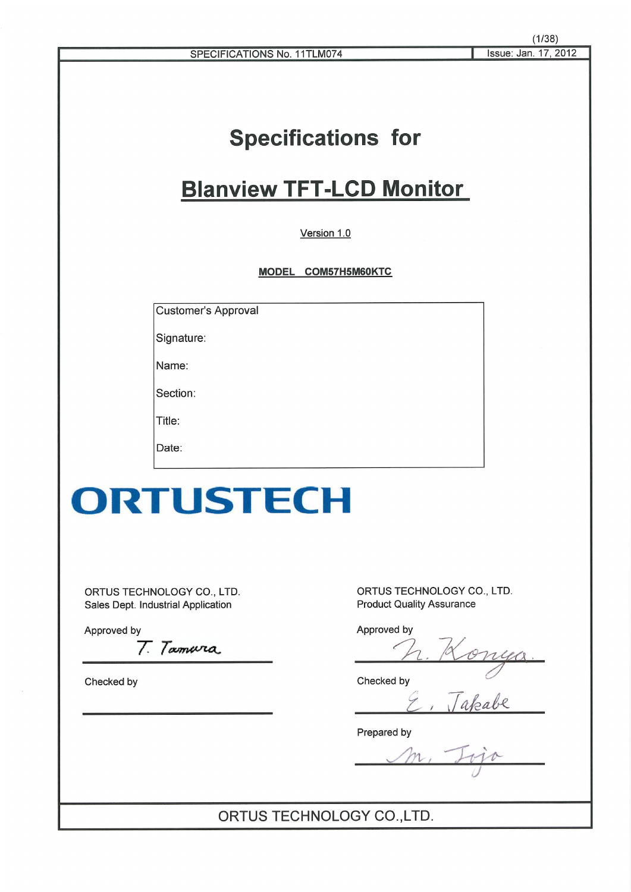# **Specifications for**

# **Blanview TFT-LCD Monitor**

Version 1.0

MODEL COM57H5M60KTC

**Customer's Approval** 

Signature:

Name:

Section:

Title:

Date:

# ORTUSTECH

ORTUS TECHNOLOGY CO., LTD. Sales Dept. Industrial Application

Approved by

T. Tamura

Checked by

ORTUS TECHNOLOGY CO., LTD. **Product Quality Assurance** 

Approved by

Checked by

<u>Konga.</u><br>Jakabe

Prepared by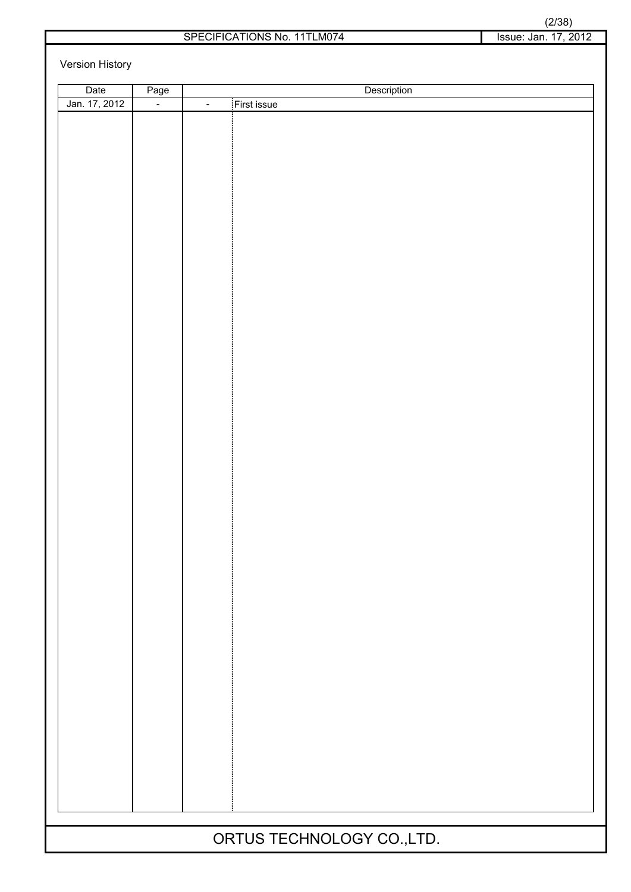|                      | (2/38) |  |  |  |  |  |
|----------------------|--------|--|--|--|--|--|
| Issue: Jan. 17. 2012 |        |  |  |  |  |  |

Version History

| Date                       | Page   | Description                   |  |  |  |
|----------------------------|--------|-------------------------------|--|--|--|
| Jan. 17, 2012              | $\Box$ | First issue<br>$\blacksquare$ |  |  |  |
|                            |        |                               |  |  |  |
|                            |        |                               |  |  |  |
|                            |        |                               |  |  |  |
|                            |        |                               |  |  |  |
|                            |        |                               |  |  |  |
|                            |        |                               |  |  |  |
|                            |        |                               |  |  |  |
|                            |        |                               |  |  |  |
|                            |        |                               |  |  |  |
|                            |        |                               |  |  |  |
|                            |        |                               |  |  |  |
|                            |        |                               |  |  |  |
|                            |        |                               |  |  |  |
|                            |        |                               |  |  |  |
|                            |        |                               |  |  |  |
|                            |        |                               |  |  |  |
|                            |        |                               |  |  |  |
|                            |        |                               |  |  |  |
|                            |        |                               |  |  |  |
|                            |        |                               |  |  |  |
|                            |        |                               |  |  |  |
|                            |        |                               |  |  |  |
|                            |        |                               |  |  |  |
|                            |        |                               |  |  |  |
|                            |        |                               |  |  |  |
|                            |        |                               |  |  |  |
|                            |        |                               |  |  |  |
|                            |        |                               |  |  |  |
|                            |        |                               |  |  |  |
|                            |        |                               |  |  |  |
|                            |        |                               |  |  |  |
|                            |        |                               |  |  |  |
|                            |        |                               |  |  |  |
|                            |        |                               |  |  |  |
|                            |        |                               |  |  |  |
|                            |        |                               |  |  |  |
|                            |        |                               |  |  |  |
|                            |        |                               |  |  |  |
|                            |        |                               |  |  |  |
|                            |        |                               |  |  |  |
|                            |        |                               |  |  |  |
|                            |        |                               |  |  |  |
|                            |        |                               |  |  |  |
| ORTUS TECHNOLOGY CO., LTD. |        |                               |  |  |  |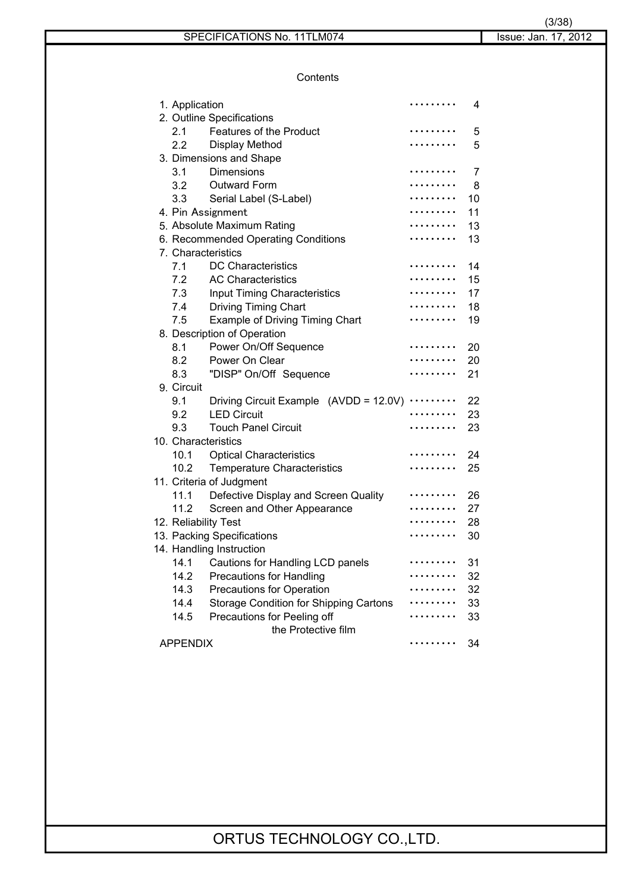**Contents** 

|      |                                               | .                                                                                                                                                                                                                                                                                                                                                                                                                                                                                                                                                                                                                                                                        | 4                                                      |
|------|-----------------------------------------------|--------------------------------------------------------------------------------------------------------------------------------------------------------------------------------------------------------------------------------------------------------------------------------------------------------------------------------------------------------------------------------------------------------------------------------------------------------------------------------------------------------------------------------------------------------------------------------------------------------------------------------------------------------------------------|--------------------------------------------------------|
|      |                                               |                                                                                                                                                                                                                                                                                                                                                                                                                                                                                                                                                                                                                                                                          |                                                        |
| 2.1  | Features of the Product                       |                                                                                                                                                                                                                                                                                                                                                                                                                                                                                                                                                                                                                                                                          | 5                                                      |
|      |                                               |                                                                                                                                                                                                                                                                                                                                                                                                                                                                                                                                                                                                                                                                          | 5                                                      |
|      |                                               |                                                                                                                                                                                                                                                                                                                                                                                                                                                                                                                                                                                                                                                                          |                                                        |
| 3.1  | Dimensions                                    |                                                                                                                                                                                                                                                                                                                                                                                                                                                                                                                                                                                                                                                                          | 7                                                      |
|      |                                               | .                                                                                                                                                                                                                                                                                                                                                                                                                                                                                                                                                                                                                                                                        | -8                                                     |
|      | Serial Label (S-Label)                        |                                                                                                                                                                                                                                                                                                                                                                                                                                                                                                                                                                                                                                                                          | 10                                                     |
|      |                                               |                                                                                                                                                                                                                                                                                                                                                                                                                                                                                                                                                                                                                                                                          | 11                                                     |
|      |                                               |                                                                                                                                                                                                                                                                                                                                                                                                                                                                                                                                                                                                                                                                          | 13                                                     |
|      |                                               |                                                                                                                                                                                                                                                                                                                                                                                                                                                                                                                                                                                                                                                                          | 13                                                     |
|      |                                               |                                                                                                                                                                                                                                                                                                                                                                                                                                                                                                                                                                                                                                                                          |                                                        |
| 7.1  | <b>DC Characteristics</b>                     |                                                                                                                                                                                                                                                                                                                                                                                                                                                                                                                                                                                                                                                                          | 14                                                     |
| 7.2  | <b>AC Characteristics</b>                     |                                                                                                                                                                                                                                                                                                                                                                                                                                                                                                                                                                                                                                                                          | 15                                                     |
|      |                                               |                                                                                                                                                                                                                                                                                                                                                                                                                                                                                                                                                                                                                                                                          | 17                                                     |
|      |                                               |                                                                                                                                                                                                                                                                                                                                                                                                                                                                                                                                                                                                                                                                          | 18                                                     |
| 7.5  | Example of Driving Timing Chart               |                                                                                                                                                                                                                                                                                                                                                                                                                                                                                                                                                                                                                                                                          | 19                                                     |
|      |                                               |                                                                                                                                                                                                                                                                                                                                                                                                                                                                                                                                                                                                                                                                          |                                                        |
| 8.1  | Power On/Off Sequence                         |                                                                                                                                                                                                                                                                                                                                                                                                                                                                                                                                                                                                                                                                          | 20                                                     |
|      | Power On Clear                                |                                                                                                                                                                                                                                                                                                                                                                                                                                                                                                                                                                                                                                                                          | 20                                                     |
| 8.3  | "DISP" On/Off Sequence                        |                                                                                                                                                                                                                                                                                                                                                                                                                                                                                                                                                                                                                                                                          | 21                                                     |
|      |                                               |                                                                                                                                                                                                                                                                                                                                                                                                                                                                                                                                                                                                                                                                          |                                                        |
| 9.1  |                                               |                                                                                                                                                                                                                                                                                                                                                                                                                                                                                                                                                                                                                                                                          | 22                                                     |
|      |                                               |                                                                                                                                                                                                                                                                                                                                                                                                                                                                                                                                                                                                                                                                          | 23                                                     |
| 9.3  |                                               |                                                                                                                                                                                                                                                                                                                                                                                                                                                                                                                                                                                                                                                                          | 23                                                     |
|      |                                               |                                                                                                                                                                                                                                                                                                                                                                                                                                                                                                                                                                                                                                                                          |                                                        |
| 10.1 | <b>Optical Characteristics</b>                |                                                                                                                                                                                                                                                                                                                                                                                                                                                                                                                                                                                                                                                                          | 24                                                     |
| 10.2 |                                               |                                                                                                                                                                                                                                                                                                                                                                                                                                                                                                                                                                                                                                                                          | 25                                                     |
|      |                                               |                                                                                                                                                                                                                                                                                                                                                                                                                                                                                                                                                                                                                                                                          |                                                        |
| 11.1 |                                               |                                                                                                                                                                                                                                                                                                                                                                                                                                                                                                                                                                                                                                                                          | 26                                                     |
| 11.2 | Screen and Other Appearance                   |                                                                                                                                                                                                                                                                                                                                                                                                                                                                                                                                                                                                                                                                          | 27                                                     |
|      |                                               |                                                                                                                                                                                                                                                                                                                                                                                                                                                                                                                                                                                                                                                                          | 28                                                     |
|      |                                               |                                                                                                                                                                                                                                                                                                                                                                                                                                                                                                                                                                                                                                                                          | 30                                                     |
|      |                                               |                                                                                                                                                                                                                                                                                                                                                                                                                                                                                                                                                                                                                                                                          |                                                        |
| 14.1 |                                               |                                                                                                                                                                                                                                                                                                                                                                                                                                                                                                                                                                                                                                                                          | 31                                                     |
| 14.2 | <b>Precautions for Handling</b>               |                                                                                                                                                                                                                                                                                                                                                                                                                                                                                                                                                                                                                                                                          | 32                                                     |
| 14.3 | <b>Precautions for Operation</b>              |                                                                                                                                                                                                                                                                                                                                                                                                                                                                                                                                                                                                                                                                          | 32                                                     |
| 14.4 | <b>Storage Condition for Shipping Cartons</b> |                                                                                                                                                                                                                                                                                                                                                                                                                                                                                                                                                                                                                                                                          | 33                                                     |
| 14.5 | Precautions for Peeling off                   |                                                                                                                                                                                                                                                                                                                                                                                                                                                                                                                                                                                                                                                                          | 33                                                     |
|      | the Protective film                           |                                                                                                                                                                                                                                                                                                                                                                                                                                                                                                                                                                                                                                                                          |                                                        |
|      |                                               |                                                                                                                                                                                                                                                                                                                                                                                                                                                                                                                                                                                                                                                                          | 34                                                     |
|      | 9. Circuit                                    | 1. Application<br>2. Outline Specifications<br>2.2 Display Method<br>3. Dimensions and Shape<br>3.2 Outward Form<br>3.3<br>4. Pin Assignment<br>5. Absolute Maximum Rating<br>6. Recommended Operating Conditions<br>7. Characteristics<br>7.3 Input Timing Characteristics<br>7.4 Driving Timing Chart<br>8. Description of Operation<br>8.2<br>9.2 LED Circuit<br><b>Touch Panel Circuit</b><br>10. Characteristics<br><b>Temperature Characteristics</b><br>11. Criteria of Judgment<br>Defective Display and Screen Quality<br>12. Reliability Test<br>13. Packing Specifications<br>14. Handling Instruction<br>Cautions for Handling LCD panels<br><b>APPENDIX</b> | Driving Circuit Example (AVDD = 12.0V) $\cdots \cdots$ |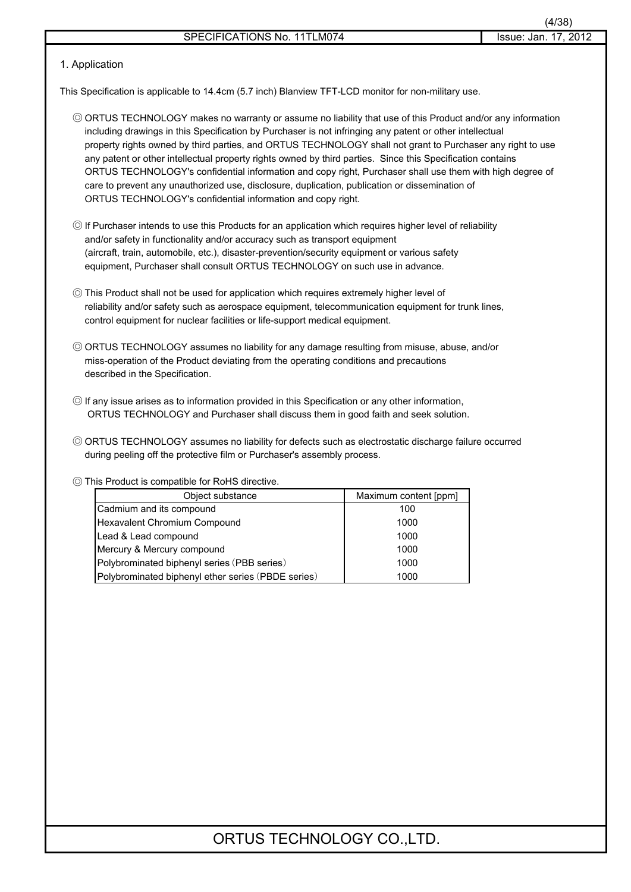### 1. Application

This Specification is applicable to 14.4cm (5.7 inch) Blanview TFT-LCD monitor for non-military use.

- 䃁 ORTUS TECHNOLOGY makes no warranty or assume no liability that use of this Product and/or any information including drawings in this Specification by Purchaser is not infringing any patent or other intellectual property rights owned by third parties, and ORTUS TECHNOLOGY shall not grant to Purchaser any right to use any patent or other intellectual property rights owned by third parties. Since this Specification contains ORTUS TECHNOLOGY's confidential information and copy right, Purchaser shall use them with high degree of care to prevent any unauthorized use, disclosure, duplication, publication or dissemination of ORTUS TECHNOLOGY's confidential information and copy right.
- 䃁 If Purchaser intends to use this Products for an application which requires higher level of reliability and/or safety in functionality and/or accuracy such as transport equipment (aircraft, train, automobile, etc.), disaster-prevention/security equipment or various safety equipment, Purchaser shall consult ORTUS TECHNOLOGY on such use in advance.
- 䃁 This Product shall not be used for application which requires extremely higher level of reliability and/or safety such as aerospace equipment, telecommunication equipment for trunk lines, control equipment for nuclear facilities or life-support medical equipment.
- © ORTUS TECHNOLOGY assumes no liability for any damage resulting from misuse, abuse, and/or miss-operation of the Product deviating from the operating conditions and precautions described in the Specification.
- 䃁 If any issue arises as to information provided in this Specification or any other information, ORTUS TECHNOLOGY and Purchaser shall discuss them in good faith and seek solution.
- 䃁 ORTUS TECHNOLOGY assumes no liability for defects such as electrostatic discharge failure occurred during peeling off the protective film or Purchaser's assembly process.

### 䃁 This Product is compatible for RoHS directive.

| Object substance                                   | Maximum content [ppm] |
|----------------------------------------------------|-----------------------|
| Cadmium and its compound                           | 100                   |
| Hexavalent Chromium Compound                       | 1000                  |
| Lead & Lead compound                               | 1000                  |
| Mercury & Mercury compound                         | 1000                  |
| Polybrominated biphenyl series (PBB series)        | 1000                  |
| Polybrominated biphenyl ether series (PBDE series) | 1000                  |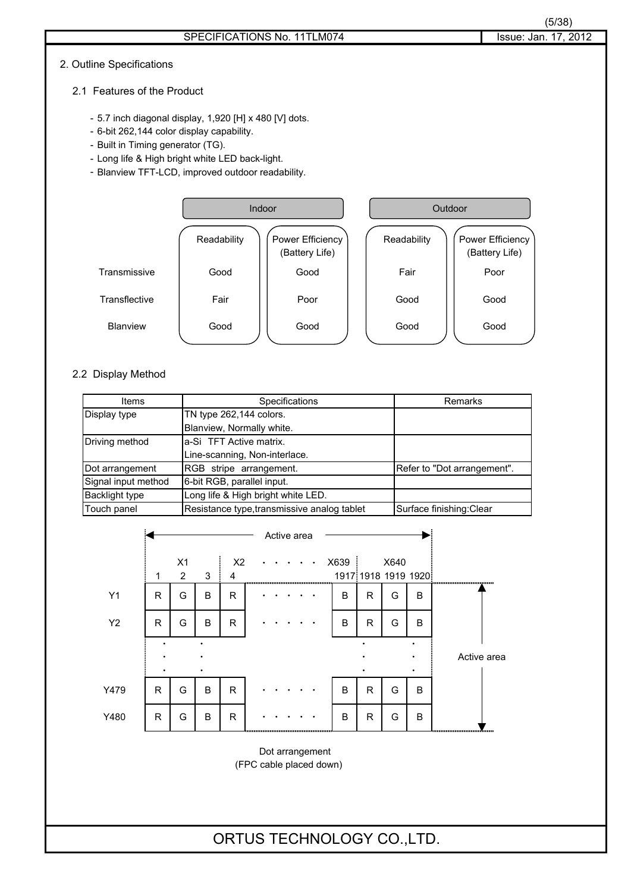#### 2. Outline Specifications

- 2.1 Features of the Product
	- 5.7 inch diagonal display, 1,920 [H] x 480 [V] dots.
	- 6-bit 262,144 color display capability.
	- Built in Timing generator (TG).
	- Long life & High bright white LED back-light.
	- Blanview TFT-LCD, improved outdoor readability.



### 2.2 Display Method

| Items                 | Specifications                              | Remarks                     |
|-----------------------|---------------------------------------------|-----------------------------|
| Display type          | TN type 262,144 colors.                     |                             |
|                       | Blanview, Normally white.                   |                             |
| Driving method        | la-Si TFT Active matrix.                    |                             |
|                       | Line-scanning, Non-interlace.               |                             |
| Dot arrangement       | RGB stripe arrangement.                     | Refer to "Dot arrangement". |
| Signal input method   | 6-bit RGB, parallel input.                  |                             |
| <b>Backlight type</b> | Long life & High bright white LED.          |                             |
| Touch panel           | Resistance type, transmissive analog tablet | Surface finishing: Clear    |



(FPC cable placed down)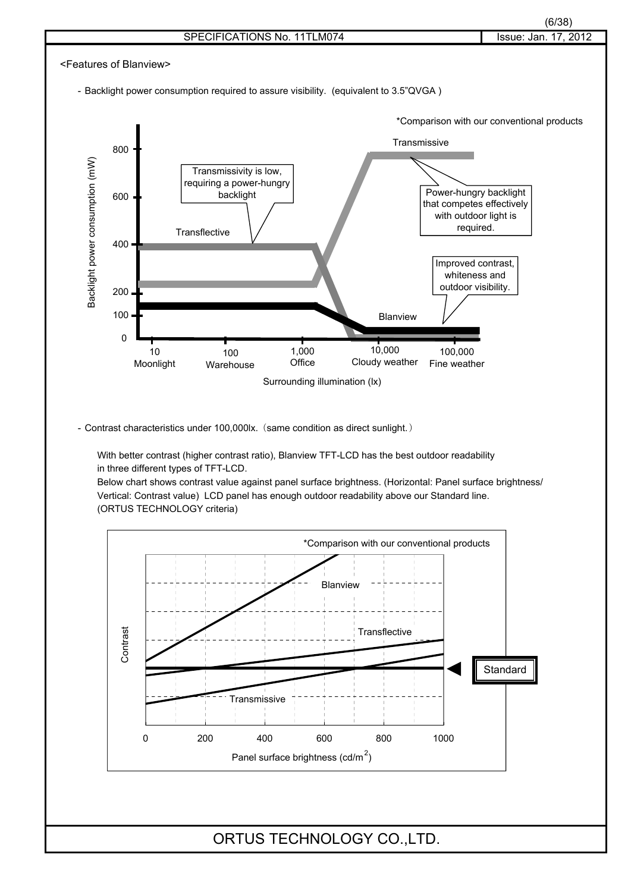

- Backlight power consumption required to assure visibility. (equivalent to 3.5"QVGA )



- Contrast characteristics under 100,000lx. (same condition as direct sunlight.)

With better contrast (higher contrast ratio), Blanview TFT-LCD has the best outdoor readability in three different types of TFT-LCD.

Below chart shows contrast value against panel surface brightness. (Horizontal: Panel surface brightness/ Vertical: Contrast value) LCD panel has enough outdoor readability above our Standard line. (ORTUS TECHNOLOGY criteria)

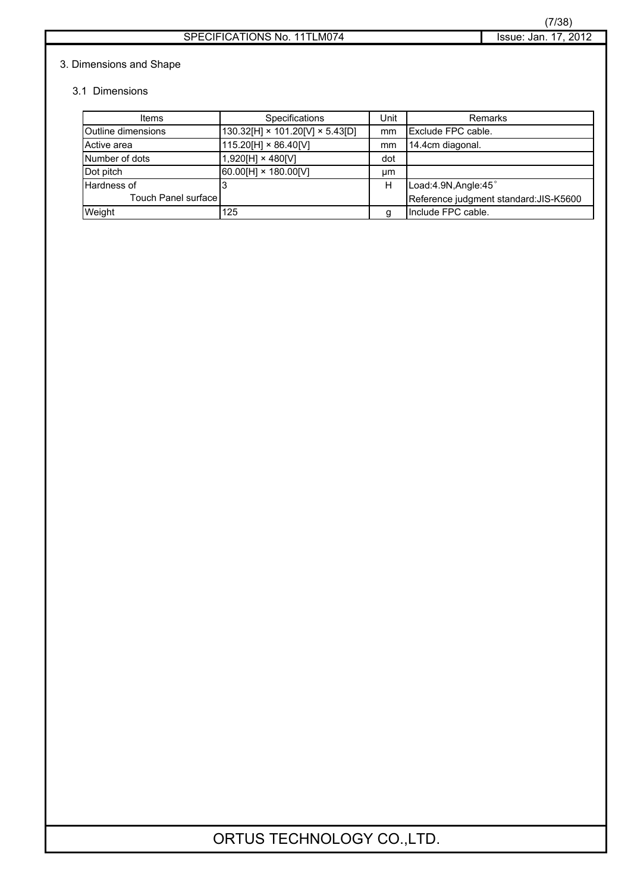### 3. Dimensions and Shape

### 3.1 Dimensions

| Items                     | <b>Specifications</b>                       | Unit | Remarks                                |
|---------------------------|---------------------------------------------|------|----------------------------------------|
| <b>Outline dimensions</b> | $130.32[H] \times 101.20[V] \times 5.43[D]$ | mm   | Exclude FPC cable.                     |
| Active area               | 115.20[H] × 86.40[V]                        | mm   | 14.4cm diagonal.                       |
| Number of dots            | 1,920[H] × 480[V]                           | dot  |                                        |
| Dot pitch                 | 60.00[H] × 180.00[V]                        | μm   |                                        |
| Hardness of               |                                             | н    | Load:4.9N, Angle:45°                   |
| Touch Panel surface       |                                             |      | Reference judgment standard: JIS-K5600 |
| Weight                    | 125                                         | a    | Include FPC cable.                     |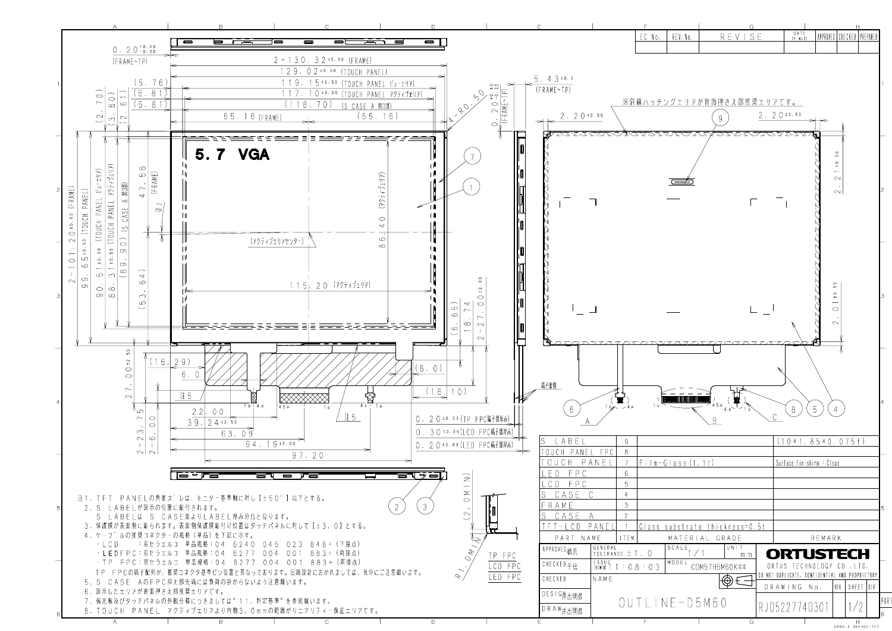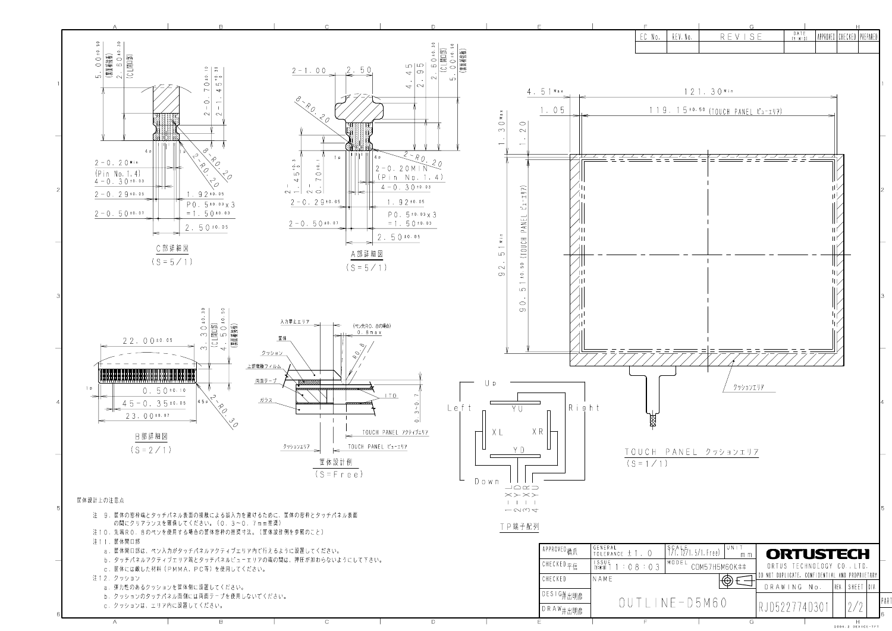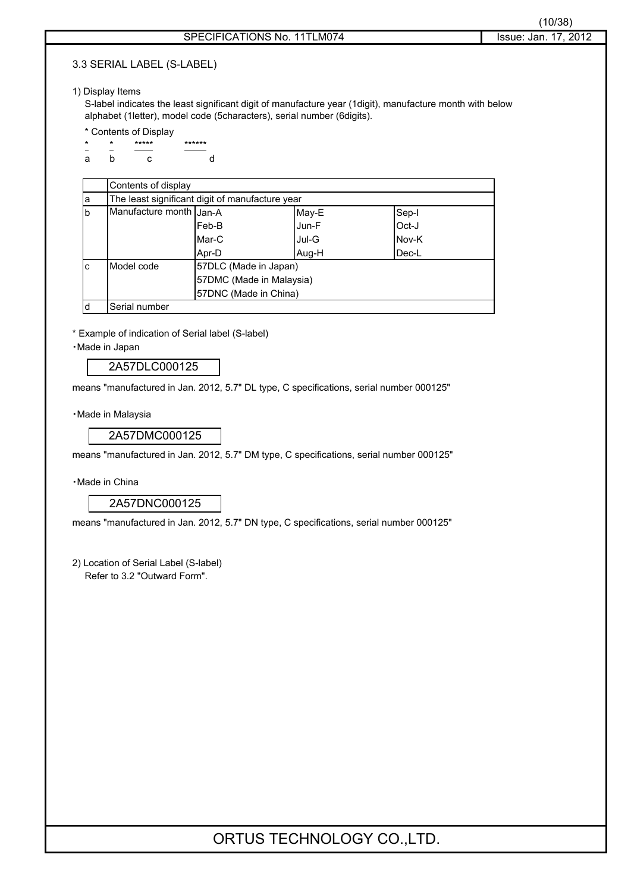### 3.3 SERIAL LABEL (S-LABEL)

### 1) Display Items

S-label indicates the least significant digit of manufacture year (1digit), manufacture month with below alphabet (1letter), model code (5characters), serial number (6digits).

- \* Contents of Display
- \* \*\*\*\*\* \*\*\*\*\*\* ab c d

|          | Contents of display                             |                          |       |       |  |  |  |  |  |
|----------|-------------------------------------------------|--------------------------|-------|-------|--|--|--|--|--|
| la       | The least significant digit of manufacture year |                          |       |       |  |  |  |  |  |
| <b>b</b> | Manufacture month Jan-A<br>May-E<br>Sep-I       |                          |       |       |  |  |  |  |  |
|          |                                                 | Feb-B                    | Jun-F | Oct-J |  |  |  |  |  |
|          |                                                 | Mar-C                    | Jul-G | Nov-K |  |  |  |  |  |
|          |                                                 | Apr-D                    | Aug-H | Dec-L |  |  |  |  |  |
| lc.      | Model code                                      | 57DLC (Made in Japan)    |       |       |  |  |  |  |  |
|          |                                                 | 57DMC (Made in Malaysia) |       |       |  |  |  |  |  |
|          |                                                 | 57DNC (Made in China)    |       |       |  |  |  |  |  |
| ld       | Serial number                                   |                          |       |       |  |  |  |  |  |

\* Example of indication of Serial label (S-label)

䊶Made in Japan

2A57DLC000125

means "manufactured in Jan. 2012, 5.7" DL type, C specifications, serial number 000125"

· Made in Malaysia

2A57DMC000125

means "manufactured in Jan. 2012, 5.7" DM type, C specifications, serial number 000125"

䊶Made in China

2A57DNC000125

means "manufactured in Jan. 2012, 5.7" DN type, C specifications, serial number 000125"

2) Location of Serial Label (S-label) Refer to 3.2 "Outward Form".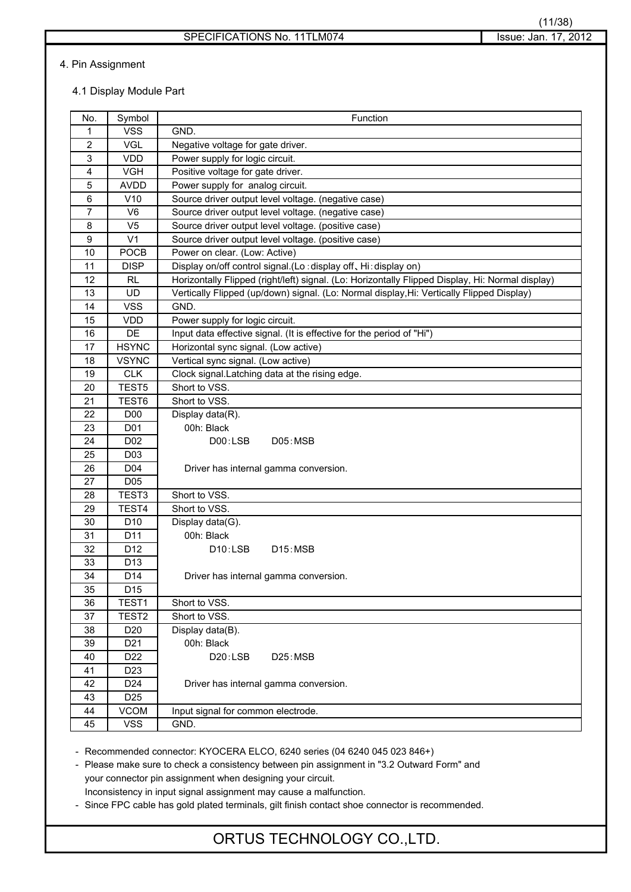### 4. Pin Assignment

### 4.1 Display Module Part

| No.              | Symbol            | Function                                                                                         |
|------------------|-------------------|--------------------------------------------------------------------------------------------------|
| 1                | <b>VSS</b>        | GND.                                                                                             |
| $\overline{2}$   | VGL               | Negative voltage for gate driver.                                                                |
| 3                | <b>VDD</b>        | Power supply for logic circuit.                                                                  |
| 4                | <b>VGH</b>        | Positive voltage for gate driver.                                                                |
| $\sqrt{5}$       | <b>AVDD</b>       | Power supply for analog circuit.                                                                 |
| $\,6\,$          | V10               | Source driver output level voltage. (negative case)                                              |
| 7                | V <sub>6</sub>    | Source driver output level voltage. (negative case)                                              |
| 8                | V <sub>5</sub>    | Source driver output level voltage. (positive case)                                              |
| $\boldsymbol{9}$ | V <sub>1</sub>    | Source driver output level voltage. (positive case)                                              |
| 10               | POCB              | Power on clear. (Low: Active)                                                                    |
| 11               | <b>DISP</b>       | Display on/off control signal.(Lo: display off, Hi: display on)                                  |
| 12               | RL                | Horizontally Flipped (right/left) signal. (Lo: Horizontally Flipped Display, Hi: Normal display) |
| 13               | <b>UD</b>         | Vertically Flipped (up/down) signal. (Lo: Normal display, Hi: Vertically Flipped Display)        |
| 14               | <b>VSS</b>        | GND.                                                                                             |
| 15               | <b>VDD</b>        | Power supply for logic circuit.                                                                  |
| 16               | DE                | Input data effective signal. (It is effective for the period of "Hi")                            |
| 17               | <b>HSYNC</b>      | Horizontal sync signal. (Low active)                                                             |
| 18               | <b>VSYNC</b>      | Vertical sync signal. (Low active)                                                               |
| 19               | <b>CLK</b>        | Clock signal. Latching data at the rising edge.                                                  |
| 20               | TEST <sub>5</sub> | Short to VSS.                                                                                    |
| 21               | TEST6             | Short to VSS.                                                                                    |
| 22               | D <sub>0</sub>    | Display data(R).                                                                                 |
| 23               | D01               | 00h: Black                                                                                       |
| 24               | D02               | D00:LSB<br>D05:MSB                                                                               |
| 25               | D <sub>0</sub> 3  |                                                                                                  |
| 26               | D04               | Driver has internal gamma conversion.                                                            |
| 27               | D <sub>05</sub>   |                                                                                                  |
| 28               | TEST <sub>3</sub> | Short to VSS.                                                                                    |
| 29               | TEST4             | Short to VSS.                                                                                    |
| 30               | D <sub>10</sub>   | Display data(G).                                                                                 |
| 31               | D <sub>11</sub>   | 00h: Black                                                                                       |
| 32               | D <sub>12</sub>   | D10:LSB<br>D15:MSB                                                                               |
| 33               | D <sub>13</sub>   |                                                                                                  |
| 34               | D14               | Driver has internal gamma conversion.                                                            |
| 35               | D15               |                                                                                                  |
| 36               | TEST1             | Short to VSS.                                                                                    |
| 37               | TEST <sub>2</sub> | Short to VSS.                                                                                    |
| 38               | D <sub>20</sub>   | Display data(B).                                                                                 |
| 39               | D <sub>21</sub>   | 00h: Black                                                                                       |
| 40               | D22               | D20:LSB<br>D25:MSB                                                                               |
| 41               | D <sub>23</sub>   |                                                                                                  |
| 42               | D <sub>24</sub>   | Driver has internal gamma conversion.                                                            |
| 43               | D <sub>25</sub>   |                                                                                                  |
| 44               | <b>VCOM</b>       | Input signal for common electrode.                                                               |
| 45               | <b>VSS</b>        | GND.                                                                                             |

- Recommended connector: KYOCERA ELCO, 6240 series (04 6240 045 023 846+)

- Please make sure to check a consistency between pin assignment in "3.2 Outward Form" and your connector pin assignment when designing your circuit.

Inconsistency in input signal assignment may cause a malfunction.

- Since FPC cable has gold plated terminals, gilt finish contact shoe connector is recommended.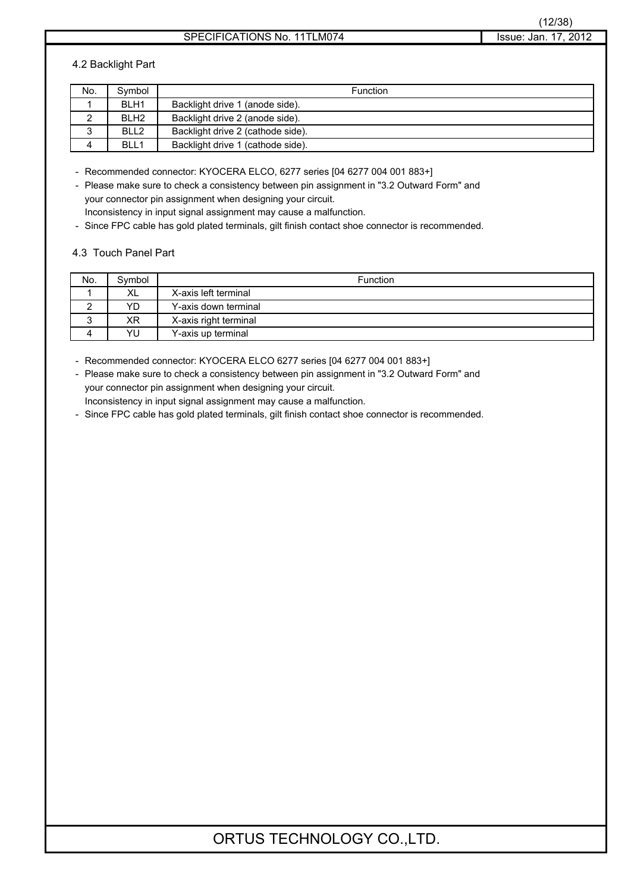### 4.2 Backlight Part

| No.    | Symbol           | Function                          |
|--------|------------------|-----------------------------------|
|        | BLH <sub>1</sub> | Backlight drive 1 (anode side).   |
| ▃      | BLH <sub>2</sub> | Backlight drive 2 (anode side).   |
| ົ<br>ບ | BLL <sub>2</sub> | Backlight drive 2 (cathode side). |
|        | BLL1             | Backlight drive 1 (cathode side). |

- Recommended connector: KYOCERA ELCO, 6277 series [04 6277 004 001 883+]

- Please make sure to check a consistency between pin assignment in "3.2 Outward Form" and your connector pin assignment when designing your circuit. Inconsistency in input signal assignment may cause a malfunction.

- Since FPC cable has gold plated terminals, gilt finish contact shoe connector is recommended.

#### 4.3 Touch Panel Part

| No. | Symbol | <b>Function</b>       |
|-----|--------|-----------------------|
|     | XL     | X-axis left terminal  |
|     | YD     | Y-axis down terminal  |
| ີ   | ΧR     | X-axis right terminal |
|     | YU     | Y-axis up terminal    |

- Recommended connector: KYOCERA ELCO 6277 series [04 6277 004 001 883+]

- Please make sure to check a consistency between pin assignment in "3.2 Outward Form" and your connector pin assignment when designing your circuit.

Inconsistency in input signal assignment may cause a malfunction.

- Since FPC cable has gold plated terminals, gilt finish contact shoe connector is recommended.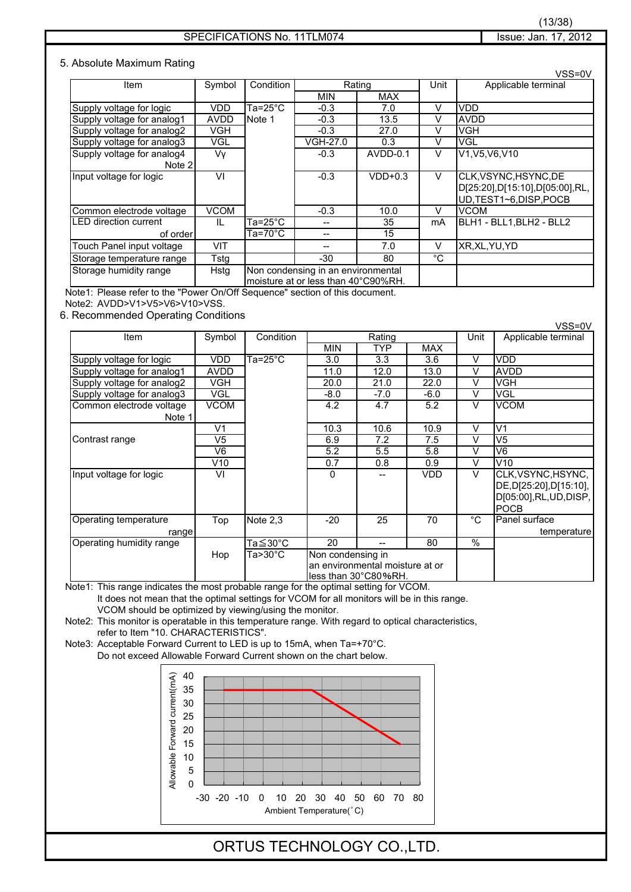### SPECIFICATIONS No. 11TLM074 SPECIFICATIONS No. 11TLM074

#### 5. Absolute Maximum Rating

|                                      |              |           |                                                                           |            |    | VSS=0V                                                                             |  |  |      |                     |
|--------------------------------------|--------------|-----------|---------------------------------------------------------------------------|------------|----|------------------------------------------------------------------------------------|--|--|------|---------------------|
| Item                                 | Symbol       | Condition | Rating                                                                    |            |    |                                                                                    |  |  | Unit | Applicable terminal |
|                                      |              |           | MIN                                                                       | <b>MAX</b> |    |                                                                                    |  |  |      |                     |
| Supply voltage for logic             | <b>VDD</b>   | Ta=25°C   | $-0.3$                                                                    | 7.0        | V  | <b>VDD</b>                                                                         |  |  |      |                     |
| Supply voltage for analog1           | <b>AVDD</b>  | Note 1    | $-0.3$                                                                    | 13.5       | v  | <b>AVDD</b>                                                                        |  |  |      |                     |
| Supply voltage for analog2           | VGH          |           | $-0.3$                                                                    | 27.0       | v  | <b>VGH</b>                                                                         |  |  |      |                     |
| Supply voltage for analog3           | VGL          |           | VGH-27.0                                                                  | 0.3        | V  | VGL                                                                                |  |  |      |                     |
| Supply voltage for analog4<br>Note 2 | Vv           |           | $-0.3$                                                                    | AVDD-0.1   | V  | V1, V5, V6, V10                                                                    |  |  |      |                     |
| Input voltage for logic              | VI           |           | $-0.3$                                                                    | $VDD+0.3$  | V  | CLK, VSYNC, HSYNC, DE<br>D[25:20],D[15:10],D[05:00],RL,<br>UD, TEST1~6, DISP, POCB |  |  |      |                     |
| Common electrode voltage             | <b>VCOM</b>  |           | $-0.3$                                                                    | 10.0       | V  | <b>VCOM</b>                                                                        |  |  |      |                     |
| LED direction current                | $\mathbf{H}$ | Ta=25°C   |                                                                           | 35         | mA | BLH1 - BLL1.BLH2 - BLL2                                                            |  |  |      |                     |
| of order                             |              | Ta=70°C   | --                                                                        | 15         |    |                                                                                    |  |  |      |                     |
| Touch Panel input voltage            | VIT          |           |                                                                           | 7.0        | V  | XR, XL, YU, YD                                                                     |  |  |      |                     |
| Storage temperature range            | Tstg         |           | -30                                                                       | 80         | °C |                                                                                    |  |  |      |                     |
| Storage humidity range               | Hstg         |           | Non condensing in an environmental<br>moisture at or less than 40°C90%RH. |            |    |                                                                                    |  |  |      |                     |

Note1: Please refer to the "Power On/Off Sequence" section of this document.

Note2: AVDD>V1>V5>V6>V10>VSS.

6. Recommended Operating Conditions

Item | Symbol | Condition | Rating | Unit | Applicable terminal MIN TYP MAX Supply voltage for logic VDD Ta=25°C 3.0 3.3 3.6 V VDD Supply voltage for analog1 | AVDD | 11.0 | 12.0 | 13.0 | V | AVDD Supply voltage for analog2  $\parallel$  VGH  $\parallel$  20.0  $\parallel$  21.0  $\parallel$  22.0  $\parallel$  V VGH Supply voltage for analog3  $\vert$  VGL  $\vert$  -8.0  $\vert$  -7.0  $\vert$  -6.0  $\vert$  V  $\vert$ VGL Common electrode voltage VCOM 4.2 4.2 4.7 5.2 V VCOM Note 1 V1 10.3 10.6 10.9 V V1 Contrast range V5 6.9 7.2 7.5 V V5 V6 | 5.2 | 5.5 | 5.8 | V |V6 V10 0.7 0.8 0.9 V V10 Input voltage for logic VI 0 -- VDD V CLK,VSYNC,HSYNC, DE,D[25:20],D[15:10], D[05:00],RL,UD,DISP, POCB Operating temperature Top Note 2,3 -20 25 70 °C Panel surface  $r = \frac{r}{\tan \theta}$   $r = \frac{r}{\tan \theta}$   $\frac{r}{\tan \theta}$   $\frac{r}{\tan \theta}$   $\frac{r}{\tan \theta}$   $\frac{r}{\tan \theta}$   $\frac{r}{\tan \theta}$   $\frac{r}{\tan \theta}$   $\frac{r}{\tan \theta}$   $\frac{r}{\tan \theta}$   $\frac{r}{\tan \theta}$   $\frac{r}{\tan \theta}$   $\frac{r}{\tan \theta}$   $\frac{r}{\tan \theta}$   $\frac{r}{\tan \theta}$   $\frac{r}{\tan \theta}$   $\frac{r}{\tan \$ Operating humidity range  $\begin{array}{|c|c|c|c|c|c|} \hline \text{Operating humidity range} & \text{Ta} \leq 30^{\circ}\text{C} & 20 \hline \end{array}$ Hop Ta>30°C Non condensing in an environmental moisture at or less than 30°C80%RH

Note1: This range indicates the most probable range for the optimal setting for VCOM. It does not mean that the optimal settings for VCOM for all monitors will be in this range. VCOM should be optimized by viewing/using the monitor.

Note2: This monitor is operatable in this temperature range. With regard to optical characteristics, refer to Item "10. CHARACTERISTICS".

Note3: Acceptable Forward Current to LED is up to 15mA, when Ta=+70°C. Do not exceed Allowable Forward Current shown on the chart below.



### ORTUS TECHNOLOGY CO.,LTD.

VSS=0V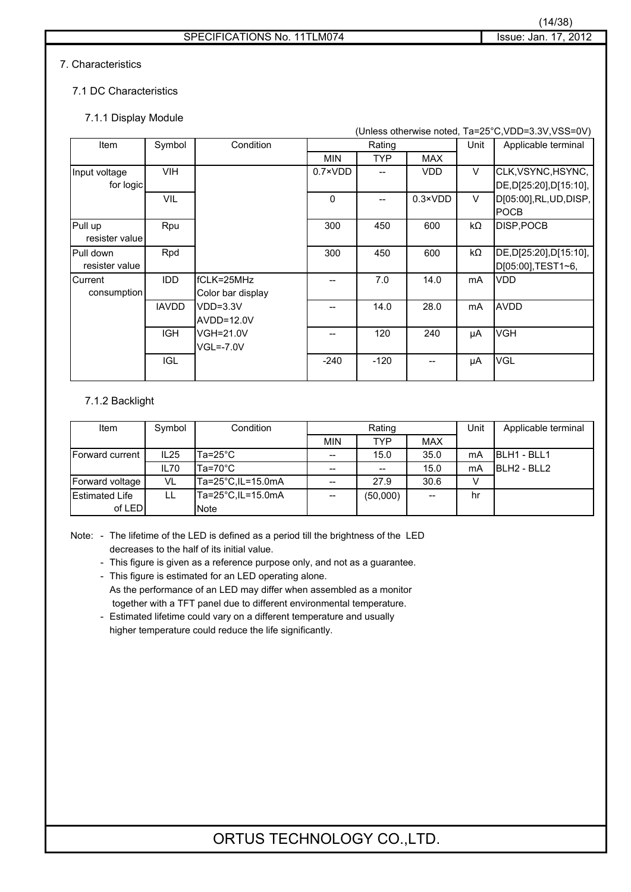### 7. Characteristics

### 7.1 DC Characteristics

### 7.1.1 Display Module

| (Unless otherwise noted, Ta=25°C, VDD=3.3V, VSS=0V) |              |                   |                  |            |                  |                     |                         |
|-----------------------------------------------------|--------------|-------------------|------------------|------------|------------------|---------------------|-------------------------|
| Item                                                | Symbol       | Condition         | Rating           |            | Unit             | Applicable terminal |                         |
|                                                     |              |                   | <b>MIN</b>       | <b>TYP</b> | <b>MAX</b>       |                     |                         |
| Input voltage                                       | <b>VIH</b>   |                   | $0.7 \times VDD$ |            | <b>VDD</b>       | V                   | CLK, VSYNC, HSYNC,      |
| for logic                                           |              |                   |                  |            |                  |                     | DE, D[25:20], D[15:10], |
|                                                     | <b>VIL</b>   |                   | $\Omega$         |            | $0.3 \times VDD$ | V                   | D[05:00], RL, UD, DISP, |
|                                                     |              |                   |                  |            |                  |                     | <b>POCB</b>             |
| Pull up                                             | Rpu          |                   | 300              | 450        | 600              | kΩ                  | <b>DISP, POCB</b>       |
| resister value                                      |              |                   |                  |            |                  |                     |                         |
| Pull down                                           | Rpd          |                   | 300              | 450        | 600              | kΩ                  | DE, D[25:20], D[15:10], |
| resister value                                      |              |                   |                  |            |                  |                     | D[05:00], TEST1~6,      |
| Current                                             | <b>IDD</b>   | fCLK=25MHz        |                  | 7.0        | 14.0             | mA                  | <b>VDD</b>              |
| consumption                                         |              | Color bar display |                  |            |                  |                     |                         |
|                                                     | <b>IAVDD</b> | $VDD=3.3V$        |                  | 14.0       | 28.0             | mA                  | <b>AVDD</b>             |
|                                                     |              | AVDD=12.0V        |                  |            |                  |                     |                         |
|                                                     | <b>IGH</b>   | <b>VGH=21.0V</b>  |                  | 120        | 240              | μA                  | <b>VGH</b>              |
|                                                     |              | $VGL=-7.0V$       |                  |            |                  |                     |                         |
|                                                     | <b>IGL</b>   |                   | $-240$           | $-120$     |                  | μA                  | <b>VGL</b>              |
|                                                     |              |                   |                  |            |                  |                     |                         |

### 7.1.2 Backlight

| Item                   | Symbol | Condition          | Rating     |          |            | Unit   | Applicable terminal |
|------------------------|--------|--------------------|------------|----------|------------|--------|---------------------|
|                        |        |                    | <b>MIN</b> | TYP      | <b>MAX</b> |        |                     |
| <b>Forward current</b> | IL25   | $Ta = 25^{\circ}C$ | $- -$      | 15.0     | 35.0       | mA     | <b>BLH1 - BLL1</b>  |
|                        | IL70   | $Ta=70^{\circ}C$   | --         | $- -$    | 15.0       | mA     | BLH2 - BLL2         |
| Forward voltage        | VL     | Ta=25°C, IL=15.0mA | --         | 27.9     | 30.6       | $\vee$ |                     |
| <b>IEstimated Life</b> | LL     | Ta=25°C, IL=15.0mA | $-$        | (50,000) | $-$        | hr     |                     |
| of LED                 |        | <b>Note</b>        |            |          |            |        |                     |

Note: - The lifetime of the LED is defined as a period till the brightness of the LED decreases to the half of its initial value.

- This figure is given as a reference purpose only, and not as a guarantee.

- This figure is estimated for an LED operating alone.

As the performance of an LED may differ when assembled as a monitor together with a TFT panel due to different environmental temperature.

- Estimated lifetime could vary on a different temperature and usually higher temperature could reduce the life significantly.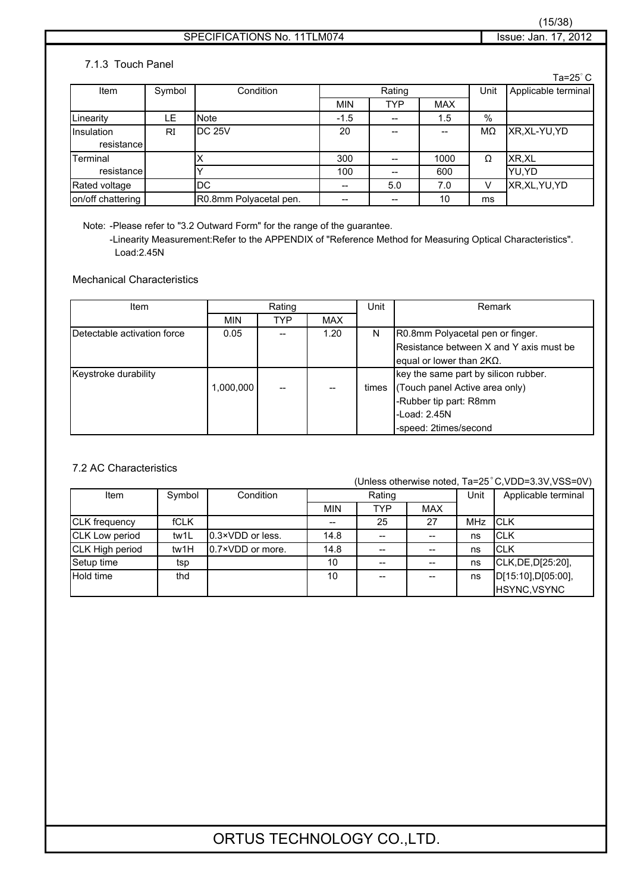### 7.1.3 Touch Panel

|                   |        |                        |            |                                                     |            |        | Ta=25 $^\circ$ C    |
|-------------------|--------|------------------------|------------|-----------------------------------------------------|------------|--------|---------------------|
| Item              | Symbol | Condition              |            | Rating                                              |            | Unit   | Applicable terminal |
|                   |        |                        | <b>MIN</b> | <b>TYP</b>                                          | <b>MAX</b> |        |                     |
| Linearity         | LE     | <b>Note</b>            | $-1.5$     | --                                                  | 1.5        | %      |                     |
| Insulation        | RI     | <b>DC 25V</b>          | 20         |                                                     | --         | MΩ     | XR, XL-YU, YD       |
| resistance        |        |                        |            |                                                     |            |        |                     |
| Terminal          |        |                        | 300        | $\hspace{0.05cm}$ – $\hspace{0.05cm}$               | 1000       | Ω      | XR.XL               |
| resistance        |        |                        | 100        | $\hspace{0.05cm} -\hspace{0.05cm} -\hspace{0.05cm}$ | 600        |        | YU.YD               |
| Rated voltage     |        | DC                     | --         | 5.0                                                 | 7.0        | $\vee$ | XR, XL, YU, YD      |
| on/off chattering |        | R0.8mm Polyacetal pen. | --         | $- -$                                               | 10         | ms     |                     |

Note: -Please refer to "3.2 Outward Form" for the range of the guarantee.

-Linearity Measurement:Refer to the APPENDIX of "Reference Method for Measuring Optical Characteristics". Load:2.45N

### Mechanical Characteristics

| Item                        | Rating     |     | Unit       | Remark |                                         |
|-----------------------------|------------|-----|------------|--------|-----------------------------------------|
|                             | <b>MIN</b> | TYP | <b>MAX</b> |        |                                         |
| Detectable activation force | 0.05       |     | 1.20       | N      | R0.8mm Polyacetal pen or finger.        |
|                             |            |     |            |        | Resistance between X and Y axis must be |
|                             |            |     |            |        | equal or lower than $2K\Omega$ .        |
| Keystroke durability        |            |     |            |        | key the same part by silicon rubber.    |
|                             | 1.000.000  | --  | --         | times  | (Touch panel Active area only)          |
|                             |            |     |            |        | -Rubber tip part: R8mm                  |
|                             |            |     |            |        | -Load: $2.45N$                          |
|                             |            |     |            |        | -speed: 2times/second                   |

### 7.2 AC Characteristics

(Unless otherwise noted, Ta=25°C,VDD=3.3V,VSS=0V)

| Item                 | Symbol      | Condition         |            | Rating                   |                                                     | Unit       | Applicable terminal |
|----------------------|-------------|-------------------|------------|--------------------------|-----------------------------------------------------|------------|---------------------|
|                      |             |                   | <b>MIN</b> | TYP                      | <b>MAX</b>                                          |            |                     |
| <b>CLK</b> frequency | <b>fCLK</b> |                   |            | 25                       | 27                                                  | <b>MHz</b> | <b>ICLK</b>         |
| CLK Low period       | tw1L        | 10.3×VDD or less. | 14.8       | $\hspace{0.05cm} \ldots$ | $\hspace{0.05cm} -\hspace{0.05cm} -\hspace{0.05cm}$ | ns         | ICLK                |
| CLK High period      | tw1H        | 0.7×VDD or more.  | 14.8       | $- -$                    |                                                     | ns         | <b>CLK</b>          |
| Setup time           | tsp         |                   | 10         | --                       |                                                     | ns         | CLK, DE, D[25:20],  |
| Hold time            | thd         |                   | 10         | $- -$                    |                                                     | ns         | D[15:10],D[05:00],  |
|                      |             |                   |            |                          |                                                     |            | HSYNC, VSYNC        |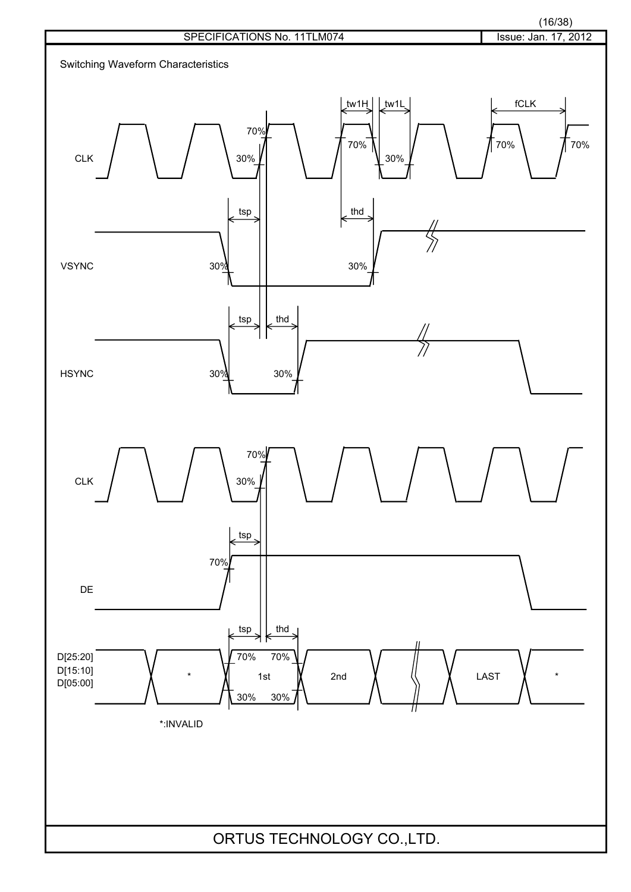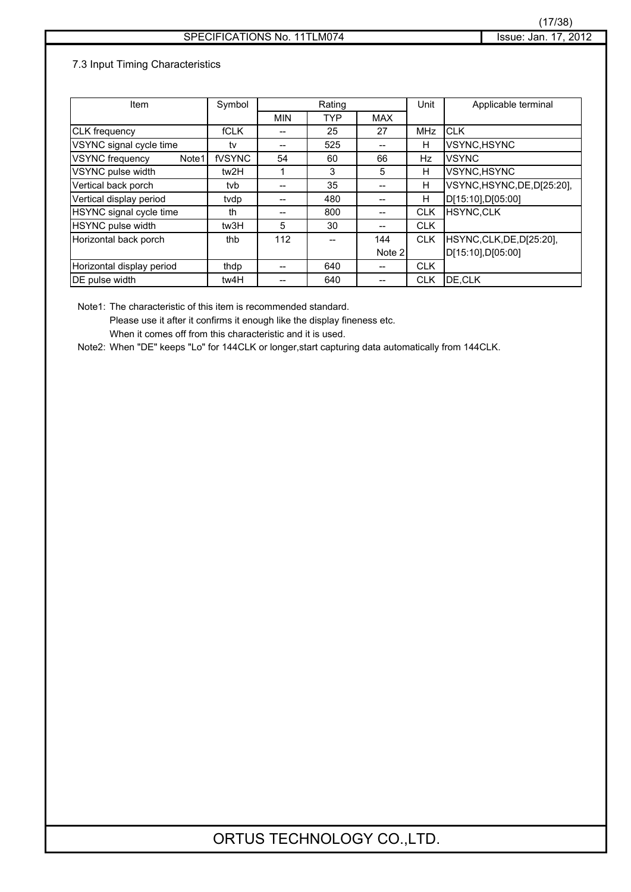### 7.3 Input Timing Characteristics

| Item                            | Symbol      |            | Rating     |            | Unit       | Applicable terminal         |
|---------------------------------|-------------|------------|------------|------------|------------|-----------------------------|
|                                 |             | <b>MIN</b> | <b>TYP</b> | <b>MAX</b> |            |                             |
| <b>CLK</b> frequency            | <b>fCLK</b> | --         | 25         | 27         | <b>MHz</b> | <b>CLK</b>                  |
| VSYNC signal cycle time         | tv          | --         | 525        |            | н          | VSYNC, HSYNC                |
| <b>VSYNC</b> frequency<br>Note1 | fVSYNC      | 54         | 60         | 66         | Hz         | <b>VSYNC</b>                |
| VSYNC pulse width               | tw2H        |            | 3          | 5          | н          | VSYNC, HSYNC                |
| Vertical back porch             | tvb         |            | 35         | --         | H          | VSYNC, HSYNC, DE, D[25:20], |
| Vertical display period         | tvdp        | --         | 480        |            | H          | D[15:10],D[05:00]           |
| HSYNC signal cycle time         | th          | --         | 800        |            | <b>CLK</b> | <b>HSYNC.CLK</b>            |
| <b>HSYNC pulse width</b>        | tw3H        | 5          | 30         |            | <b>CLK</b> |                             |
| Horizontal back porch           | thb         | 112        | --         | 144        | <b>CLK</b> | HSYNC,CLK,DE,D[25:20],      |
|                                 |             |            |            | Note 2     |            | D[15:10],D[05:00]           |
| Horizontal display period       | thdp        |            | 640        |            | <b>CLK</b> |                             |
| DE pulse width                  | tw4H        |            | 640        |            | <b>CLK</b> | DE.CLK                      |

Note1: The characteristic of this item is recommended standard.

Please use it after it confirms it enough like the display fineness etc. When it comes off from this characteristic and it is used.

Note2: When "DE" keeps "Lo" for 144CLK or longer,start capturing data automatically from 144CLK.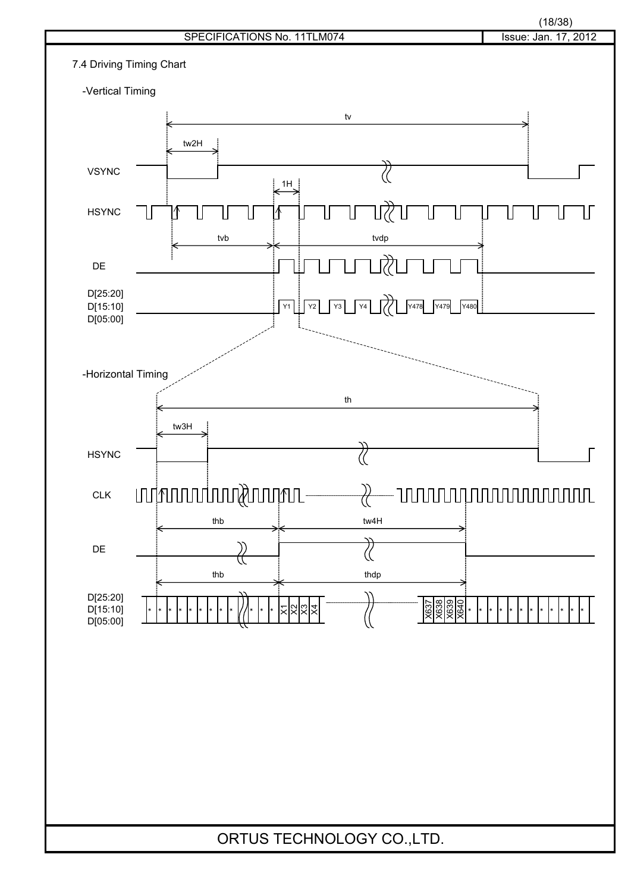

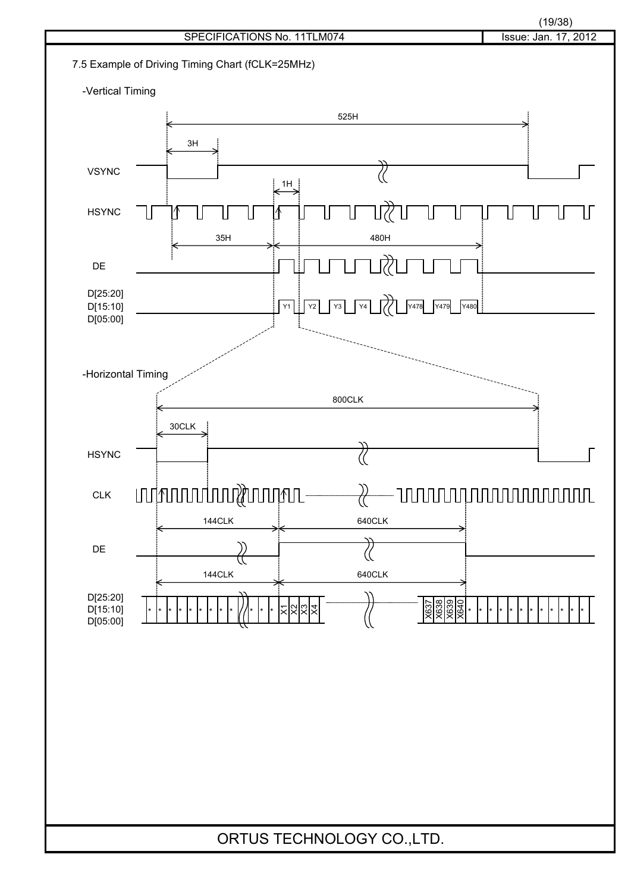

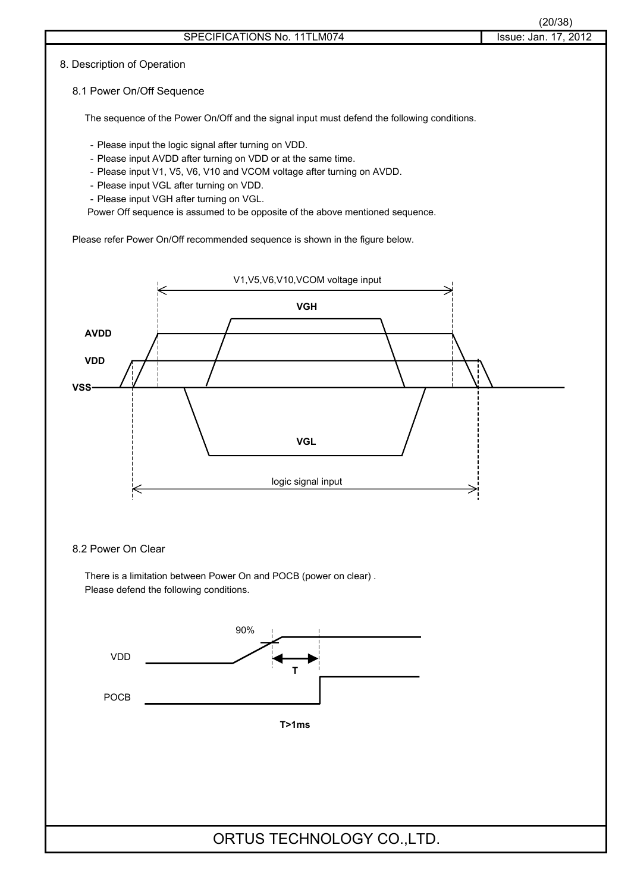### 8. Description of Operation

#### 8.1 Power On/Off Sequence

The sequence of the Power On/Off and the signal input must defend the following conditions.

- Please input the logic signal after turning on VDD.
- Please input AVDD after turning on VDD or at the same time.
- Please input V1, V5, V6, V10 and VCOM voltage after turning on AVDD.
- Please input VGL after turning on VDD.
- Please input VGH after turning on VGL.

Power Off sequence is assumed to be opposite of the above mentioned sequence.

Please refer Power On/Off recommended sequence is shown in the figure below.



### 8.2 Power On Clear

There is a limitation between Power On and POCB (power on clear) . Please defend the following conditions.

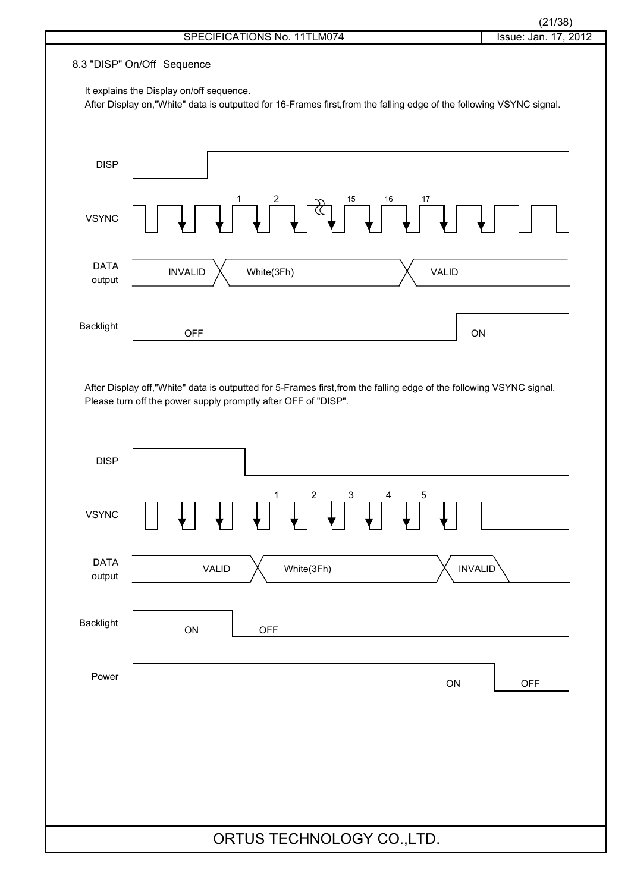| ı<br>г<br>×. |
|--------------|
|              |

| 8.3 "DISP" On/Off Sequence<br>It explains the Display on/off sequence.<br>After Display on,"White" data is outputted for 16-Frames first, from the falling edge of the following VSYNC signal.<br><b>DISP</b><br>16<br>15<br>17<br>टें  <br><b>VSYNC</b><br><b>DATA</b><br><b>VALID</b><br><b>INVALID</b><br>White(3Fh)<br>output<br>Backlight<br>ON<br><b>OFF</b><br>After Display off, "White" data is outputted for 5-Frames first, from the falling edge of the following VSYNC signal.<br>Please turn off the power supply promptly after OFF of "DISP".<br><b>DISP</b><br>3 <sup>7</sup><br>1<br>$\overline{c}$<br>5<br>$\overline{4}$<br><b>VSYNC</b><br><b>DATA</b><br><b>INVALID</b><br>White(3Fh)<br><b>VALID</b><br>output<br><b>Backlight</b><br>ON<br><b>OFF</b><br>Power<br>ON<br>OFF<br>ORTUS TECHNOLOGY CO., LTD. | SPECIFICATIONS No. 11TLM074 | (21/38)<br>Issue: Jan. 17, 2012 |
|-----------------------------------------------------------------------------------------------------------------------------------------------------------------------------------------------------------------------------------------------------------------------------------------------------------------------------------------------------------------------------------------------------------------------------------------------------------------------------------------------------------------------------------------------------------------------------------------------------------------------------------------------------------------------------------------------------------------------------------------------------------------------------------------------------------------------------------|-----------------------------|---------------------------------|
|                                                                                                                                                                                                                                                                                                                                                                                                                                                                                                                                                                                                                                                                                                                                                                                                                                   |                             |                                 |
|                                                                                                                                                                                                                                                                                                                                                                                                                                                                                                                                                                                                                                                                                                                                                                                                                                   |                             |                                 |
|                                                                                                                                                                                                                                                                                                                                                                                                                                                                                                                                                                                                                                                                                                                                                                                                                                   |                             |                                 |
|                                                                                                                                                                                                                                                                                                                                                                                                                                                                                                                                                                                                                                                                                                                                                                                                                                   |                             |                                 |
|                                                                                                                                                                                                                                                                                                                                                                                                                                                                                                                                                                                                                                                                                                                                                                                                                                   |                             |                                 |
|                                                                                                                                                                                                                                                                                                                                                                                                                                                                                                                                                                                                                                                                                                                                                                                                                                   |                             |                                 |
|                                                                                                                                                                                                                                                                                                                                                                                                                                                                                                                                                                                                                                                                                                                                                                                                                                   |                             |                                 |
|                                                                                                                                                                                                                                                                                                                                                                                                                                                                                                                                                                                                                                                                                                                                                                                                                                   |                             |                                 |
|                                                                                                                                                                                                                                                                                                                                                                                                                                                                                                                                                                                                                                                                                                                                                                                                                                   |                             |                                 |
|                                                                                                                                                                                                                                                                                                                                                                                                                                                                                                                                                                                                                                                                                                                                                                                                                                   |                             |                                 |
|                                                                                                                                                                                                                                                                                                                                                                                                                                                                                                                                                                                                                                                                                                                                                                                                                                   |                             |                                 |
|                                                                                                                                                                                                                                                                                                                                                                                                                                                                                                                                                                                                                                                                                                                                                                                                                                   |                             |                                 |
|                                                                                                                                                                                                                                                                                                                                                                                                                                                                                                                                                                                                                                                                                                                                                                                                                                   |                             |                                 |
|                                                                                                                                                                                                                                                                                                                                                                                                                                                                                                                                                                                                                                                                                                                                                                                                                                   |                             |                                 |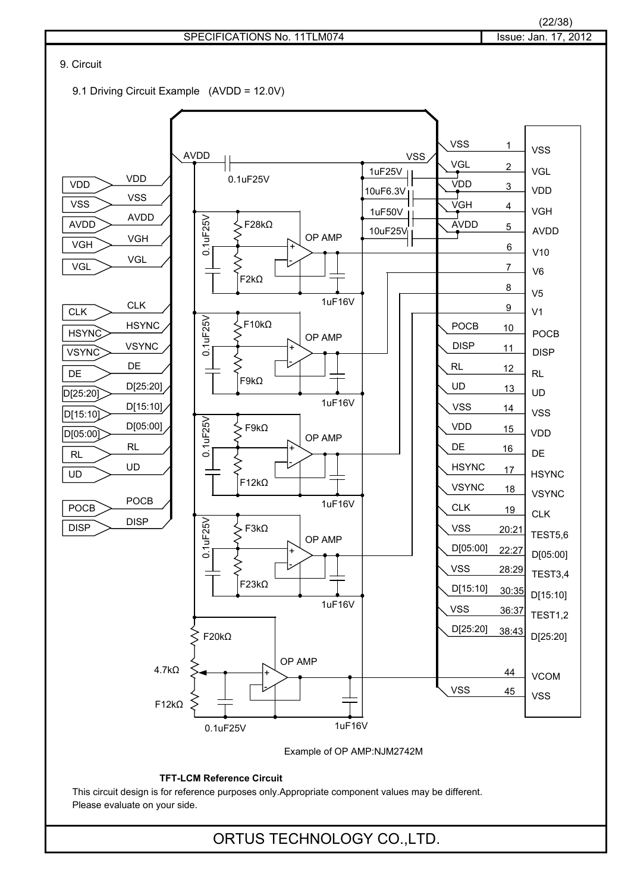

(22/38)

This circuit design is for reference purposes only.Appropriate component values may be different. Please evaluate on your side.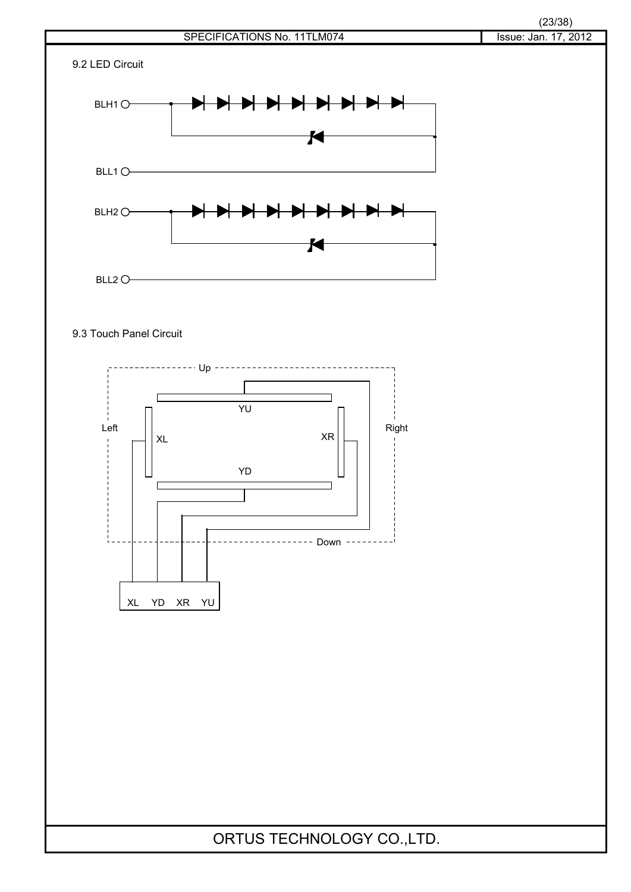

### 9.3 Touch Panel Circuit

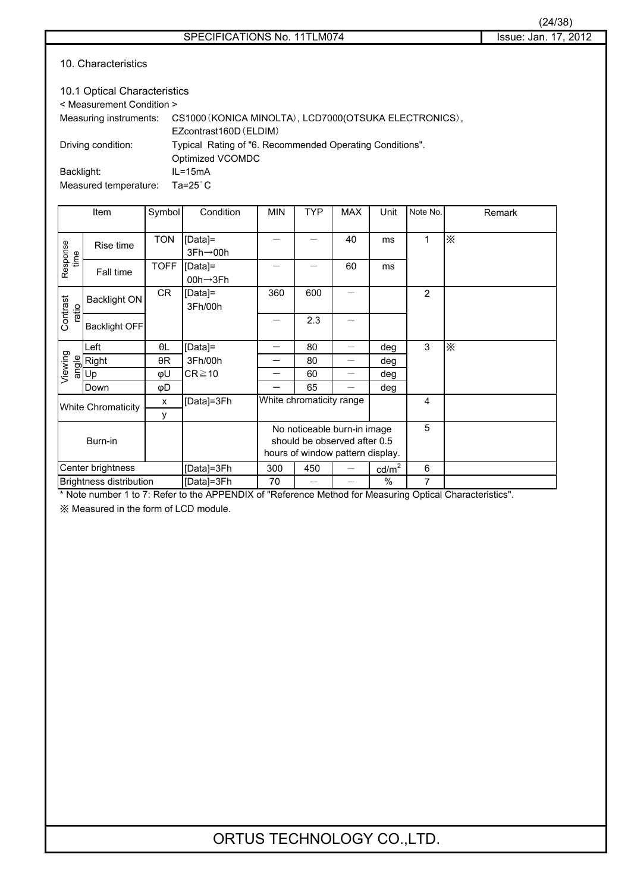| 10.1 Optical Characteristics |                                                          |  |  |  |  |  |
|------------------------------|----------------------------------------------------------|--|--|--|--|--|
| < Measurement Condition >    |                                                          |  |  |  |  |  |
| Measuring instruments:       | CS1000 (KONICA MINOLTA), LCD7000 (OTSUKA ELECTRONICS),   |  |  |  |  |  |
|                              | EZcontrast160D (ELDIM)                                   |  |  |  |  |  |
| Driving condition:           | Typical Rating of "6. Recommended Operating Conditions". |  |  |  |  |  |
|                              | Optimized VCOMDC                                         |  |  |  |  |  |
| Backlight:                   | $IL = 15mA$                                              |  |  |  |  |  |
|                              | $   -$                                                   |  |  |  |  |  |

Measured temperature: Ta=25°C

|                   | Item                                  | Symbol      | Condition                                                             | <b>MIN</b>               | <b>TYP</b>                                                                                      | <b>MAX</b> | Unit            | Note No.       | Remark                                                         |
|-------------------|---------------------------------------|-------------|-----------------------------------------------------------------------|--------------------------|-------------------------------------------------------------------------------------------------|------------|-----------------|----------------|----------------------------------------------------------------|
| Response<br>time  | Rise time                             | <b>TON</b>  | [Data]=<br>$3Fh \rightarrow 00h$                                      |                          |                                                                                                 | 40         | ms              | 1              | $\times$                                                       |
|                   | Fall time                             | <b>TOFF</b> | [Data]=<br>00h→3Fh                                                    |                          |                                                                                                 | 60         | ms              |                |                                                                |
| Contrast<br>ratio | <b>Backlight ON</b>                   | CR          | [Data]=<br>3Fh/00h                                                    | 360                      | 600                                                                                             |            |                 | $\overline{2}$ |                                                                |
|                   | <b>Backlight OFF</b>                  |             |                                                                       |                          | 2.3                                                                                             |            |                 |                |                                                                |
|                   | Left                                  | θL          | [Data]=                                                               |                          | 80                                                                                              |            | deg             | 3              | $\times$                                                       |
|                   | Right                                 | θR          | 3Fh/00h                                                               |                          | 80                                                                                              |            | deg             |                |                                                                |
| Viewing           | $\frac{1}{2}$ Rig<br>$\frac{1}{2}$ Up | φU          | $CR \ge 10$                                                           |                          | 60                                                                                              |            | deg             |                |                                                                |
|                   | Down                                  | φD          |                                                                       |                          | 65                                                                                              |            | deg             |                |                                                                |
|                   | <b>White Chromaticity</b>             | X           | [Data]=3Fh                                                            | White chromaticity range |                                                                                                 |            |                 | 4              |                                                                |
| y                 |                                       |             |                                                                       |                          |                                                                                                 |            |                 |                |                                                                |
| Burn-in           |                                       |             |                                                                       |                          | No noticeable burn-in image<br>should be observed after 0.5<br>hours of window pattern display. |            |                 | 5              |                                                                |
| Center brightness |                                       |             | [Data]=3Fh                                                            | 300                      | 450                                                                                             |            | $\text{cd/m}^2$ | 6              |                                                                |
|                   | <b>Brightness distribution</b>        |             | [Data]=3Fh<br>$*$ Material and the 7. Defects the ADDEMDIV of ID of a | 70                       |                                                                                                 |            | $\%$            | 7              | Mather different arrangement On the all Observation that the U |

Note number 1 to 7: Refer to the APPENDIX of "Reference Method for Measuring Optical Characteristics".

㶎 Measured in the form of LCD module.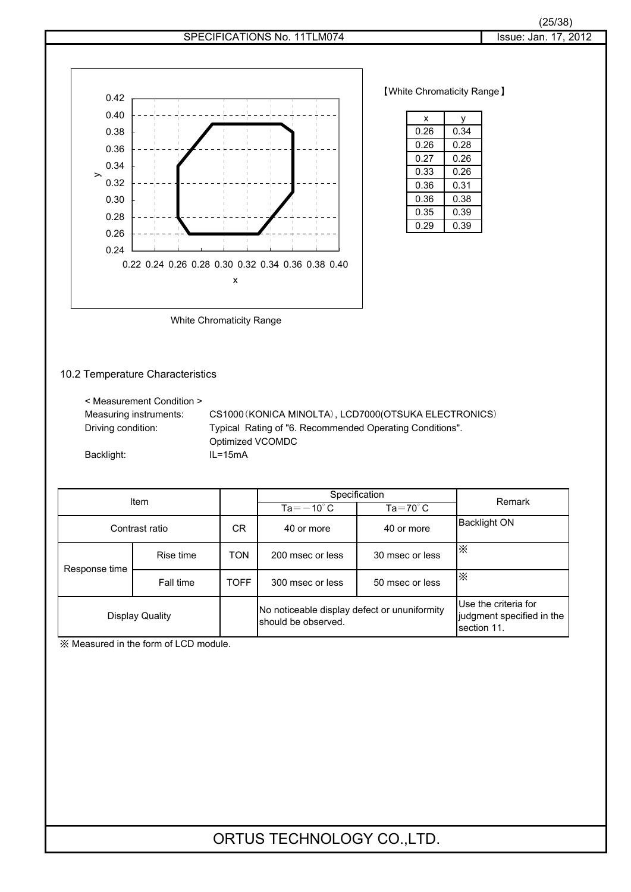



**[White Chromaticity Range]** 

| x    | ٧    |
|------|------|
| 0.26 | 0.34 |
| 0.26 | 0.28 |
| 0.27 | 0.26 |
| 0.33 | 0.26 |
| 0.36 | 0.31 |
| 0.36 | 0.38 |
| 0.35 | 0.39 |
| 0.29 | 0.39 |

White Chromaticity Range

### 10.2 Temperature Characteristics

| < Measurement Condition > |                                                          |
|---------------------------|----------------------------------------------------------|
| Measuring instruments:    | CS1000 (KONICA MINOLTA), LCD7000 (OTSUKA ELECTRONICS)    |
| Driving condition:        | Typical Rating of "6. Recommended Operating Conditions". |
|                           | Optimized VCOMDC                                         |
| Backlight:                | $IL = 15mA$                                              |
|                           |                                                          |

| Item           |                 |             | Specification                                                       | Remark                                                           |                     |
|----------------|-----------------|-------------|---------------------------------------------------------------------|------------------------------------------------------------------|---------------------|
|                |                 |             | $Ta = -10^{\circ} C$                                                | $Ta = 70^\circ C$                                                |                     |
| Contrast ratio |                 | СR          | 40 or more<br>40 or more                                            |                                                                  | <b>Backlight ON</b> |
| Response time  | Rise time       | <b>TON</b>  | 200 msec or less                                                    | 30 msec or less                                                  | $\times$            |
|                | Fall time       | <b>TOFF</b> | 50 msec or less<br>300 msec or less                                 |                                                                  | $\times$            |
|                | Display Quality |             | No noticeable display defect or ununiformity<br>should be observed. | Use the criteria for<br>judgment specified in the<br>section 11. |                     |

㶎 Measured in the form of LCD module.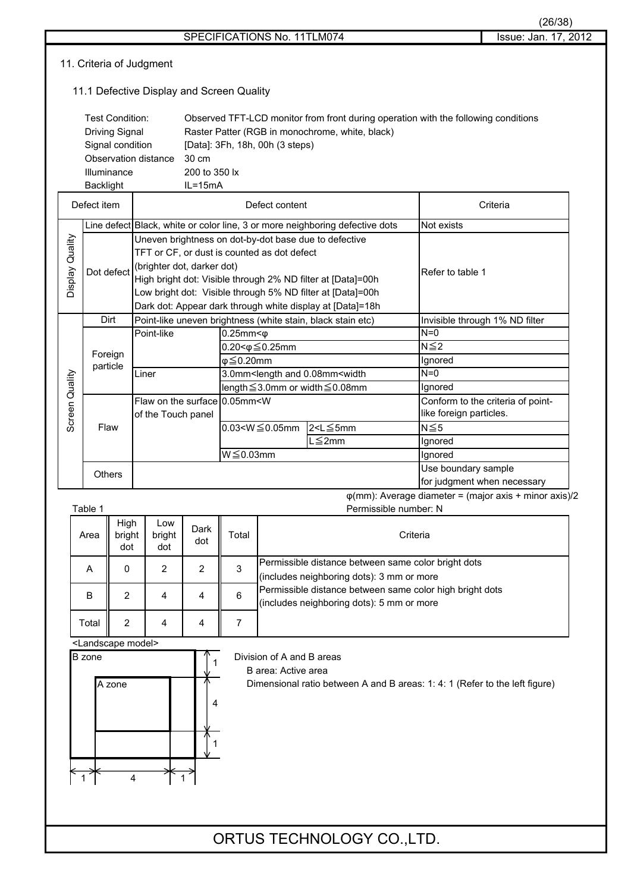|                                                                                                                         |                                           |                  |                                                            |                                                                                                                                                                                                                                                                                                                              |                                       |                                                                                         |                                                                                                       |                                                                                                                                       |                                   | (26/38)                                                        |
|-------------------------------------------------------------------------------------------------------------------------|-------------------------------------------|------------------|------------------------------------------------------------|------------------------------------------------------------------------------------------------------------------------------------------------------------------------------------------------------------------------------------------------------------------------------------------------------------------------------|---------------------------------------|-----------------------------------------------------------------------------------------|-------------------------------------------------------------------------------------------------------|---------------------------------------------------------------------------------------------------------------------------------------|-----------------------------------|----------------------------------------------------------------|
|                                                                                                                         |                                           |                  |                                                            |                                                                                                                                                                                                                                                                                                                              |                                       |                                                                                         | SPECIFICATIONS No. 11TLM074                                                                           |                                                                                                                                       |                                   | Issue: Jan. 17, 2012                                           |
| 11. Criteria of Judgment                                                                                                |                                           |                  |                                                            |                                                                                                                                                                                                                                                                                                                              |                                       |                                                                                         |                                                                                                       |                                                                                                                                       |                                   |                                                                |
|                                                                                                                         | 11.1 Defective Display and Screen Quality |                  |                                                            |                                                                                                                                                                                                                                                                                                                              |                                       |                                                                                         |                                                                                                       |                                                                                                                                       |                                   |                                                                |
| Test Condition:<br><b>Driving Signal</b><br>Signal condition<br>Observation distance<br>Illuminance<br><b>Backlight</b> |                                           |                  |                                                            |                                                                                                                                                                                                                                                                                                                              | 30 cm<br>200 to 350 lx<br>$IL = 15mA$ |                                                                                         | [Data]: 3Fh, 18h, 00h (3 steps)                                                                       | Observed TFT-LCD monitor from front during operation with the following conditions<br>Raster Patter (RGB in monochrome, white, black) |                                   |                                                                |
|                                                                                                                         | Defect item                               |                  |                                                            |                                                                                                                                                                                                                                                                                                                              |                                       |                                                                                         | Defect content                                                                                        |                                                                                                                                       |                                   | Criteria                                                       |
|                                                                                                                         |                                           |                  |                                                            |                                                                                                                                                                                                                                                                                                                              |                                       |                                                                                         |                                                                                                       | Line defect Black, white or color line, 3 or more neighboring defective dots                                                          | Not exists                        |                                                                |
| Display Quality                                                                                                         | Dot defect                                |                  |                                                            | Uneven brightness on dot-by-dot base due to defective<br>TFT or CF, or dust is counted as dot defect<br>(brighter dot, darker dot)<br>High bright dot: Visible through 2% ND filter at [Data]=00h<br>Low bright dot: Visible through 5% ND filter at [Data]=00h<br>Dark dot: Appear dark through white display at [Data]=18h |                                       | Refer to table 1                                                                        |                                                                                                       |                                                                                                                                       |                                   |                                                                |
|                                                                                                                         |                                           | Dirt             |                                                            | Point-like uneven brightness (white stain, black stain etc)                                                                                                                                                                                                                                                                  |                                       |                                                                                         |                                                                                                       | Invisible through 1% ND filter                                                                                                        |                                   |                                                                |
|                                                                                                                         | Foreign<br>particle                       |                  |                                                            | Point-like                                                                                                                                                                                                                                                                                                                   |                                       | $0.25$ mm $<$ $\phi$                                                                    |                                                                                                       |                                                                                                                                       | $N=0$                             |                                                                |
|                                                                                                                         |                                           |                  |                                                            |                                                                                                                                                                                                                                                                                                                              |                                       | $0.20 < \phi \leq 0.25$ mm                                                              |                                                                                                       |                                                                                                                                       | $N \leq 2$                        |                                                                |
|                                                                                                                         |                                           |                  |                                                            |                                                                                                                                                                                                                                                                                                                              | $\varphi \leq 0.20$ mm                |                                                                                         |                                                                                                       | Ignored                                                                                                                               |                                   |                                                                |
|                                                                                                                         |                                           |                  | Liner                                                      |                                                                                                                                                                                                                                                                                                                              |                                       | 3.0mm <length 0.08mm<width<="" and="" td=""><td><math>N=0</math></td><td></td></length> |                                                                                                       |                                                                                                                                       | $N=0$                             |                                                                |
|                                                                                                                         |                                           |                  |                                                            |                                                                                                                                                                                                                                                                                                                              |                                       |                                                                                         |                                                                                                       | length ≤3.0mm or width ≤0.08mm                                                                                                        | Ignored                           |                                                                |
| Screen Quality                                                                                                          |                                           |                  | Flaw on the surface 0.05mm <w<br>of the Touch panel</w<br> |                                                                                                                                                                                                                                                                                                                              |                                       |                                                                                         |                                                                                                       | like foreign particles.                                                                                                               | Conform to the criteria of point- |                                                                |
|                                                                                                                         |                                           | Flaw             |                                                            |                                                                                                                                                                                                                                                                                                                              |                                       |                                                                                         | $0.03 < W \le 0.05$ mm                                                                                | 2 <l≦5mm< td=""><td><math>N \leq 5</math></td><td></td></l≦5mm<>                                                                      | $N \leq 5$                        |                                                                |
|                                                                                                                         |                                           |                  |                                                            |                                                                                                                                                                                                                                                                                                                              |                                       |                                                                                         |                                                                                                       | $L \leq 2$ mm                                                                                                                         | Ignored                           |                                                                |
|                                                                                                                         |                                           |                  |                                                            |                                                                                                                                                                                                                                                                                                                              |                                       | $W \leq 0.03$ mm                                                                        |                                                                                                       |                                                                                                                                       | Ignored                           |                                                                |
|                                                                                                                         |                                           | Others           | Use boundary sample                                        |                                                                                                                                                                                                                                                                                                                              |                                       |                                                                                         |                                                                                                       |                                                                                                                                       |                                   |                                                                |
|                                                                                                                         |                                           |                  |                                                            |                                                                                                                                                                                                                                                                                                                              |                                       |                                                                                         |                                                                                                       |                                                                                                                                       |                                   | for judgment when necessary                                    |
|                                                                                                                         | Table 1                                   |                  |                                                            |                                                                                                                                                                                                                                                                                                                              |                                       |                                                                                         |                                                                                                       | Permissible number: N                                                                                                                 |                                   | $\varphi$ (mm): Average diameter = (major axis + minor axis)/2 |
|                                                                                                                         |                                           | High             |                                                            | Low                                                                                                                                                                                                                                                                                                                          |                                       |                                                                                         |                                                                                                       |                                                                                                                                       |                                   |                                                                |
|                                                                                                                         | Area                                      | bright<br>dot    |                                                            | bright<br>dot                                                                                                                                                                                                                                                                                                                | Dark<br>dot                           | Total                                                                                   |                                                                                                       |                                                                                                                                       | Criteria                          |                                                                |
|                                                                                                                         | A                                         | 0                |                                                            | $\overline{2}$                                                                                                                                                                                                                                                                                                               | $\overline{2}$                        | 3                                                                                       |                                                                                                       | Permissible distance between same color bright dots                                                                                   |                                   |                                                                |
|                                                                                                                         |                                           |                  |                                                            |                                                                                                                                                                                                                                                                                                                              |                                       |                                                                                         |                                                                                                       | (includes neighboring dots): 3 mm or more                                                                                             |                                   |                                                                |
|                                                                                                                         | B                                         | $\overline{2}$   |                                                            | 4                                                                                                                                                                                                                                                                                                                            | 4                                     | 6                                                                                       | Permissible distance between same color high bright dots<br>(includes neighboring dots): 5 mm or more |                                                                                                                                       |                                   |                                                                |
|                                                                                                                         | Total                                     | $\boldsymbol{2}$ |                                                            | 4                                                                                                                                                                                                                                                                                                                            | 4                                     | $\overline{7}$                                                                          |                                                                                                       |                                                                                                                                       |                                   |                                                                |
|                                                                                                                         | <landscape model=""></landscape>          |                  |                                                            |                                                                                                                                                                                                                                                                                                                              |                                       |                                                                                         |                                                                                                       |                                                                                                                                       |                                   |                                                                |



B zone  $\overline{A}$  Division of A and B areas

B area: Active area

A zone **Dimensional ratio between A and B areas:** 1: 4: 1 (Refer to the left figure)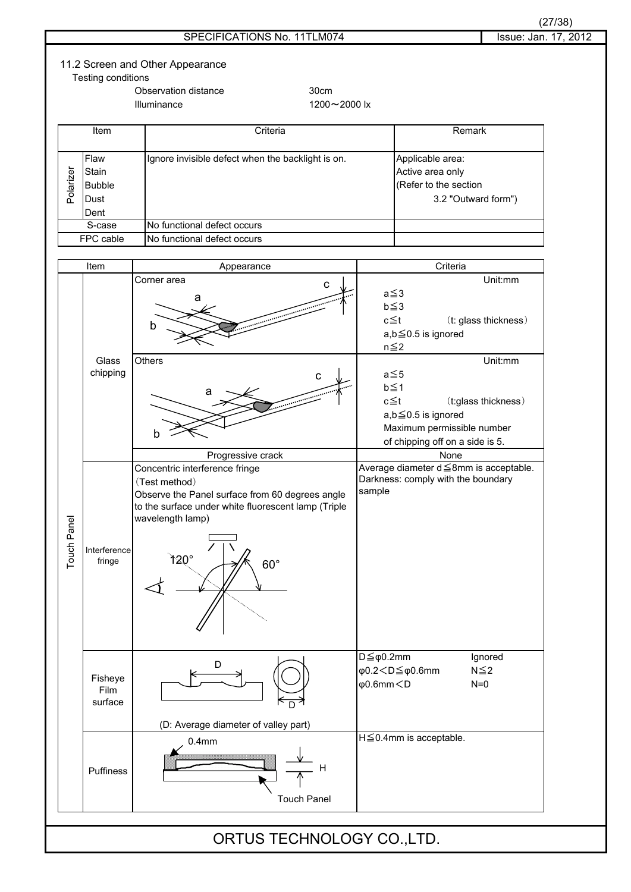| Issue: Jan. 17, 2012<br>SPECIFICATIONS No. 11TLM074<br>11.2 Screen and Other Appearance<br>Testing conditions<br>Observation distance<br>30cm<br>Illuminance<br>1200~2000 lx<br>Criteria<br>Remark<br>Item<br>Flaw<br>Ignore invisible defect when the backlight is on.<br>Applicable area:<br>Polarizer<br>Stain<br>Active area only<br>(Refer to the section<br><b>Bubble</b><br>3.2 "Outward form")<br>Dust<br>Dent<br>No functional defect occurs<br>S-case<br>FPC cable<br>No functional defect occurs<br>Criteria<br>Item<br>Appearance<br>Unit:mm<br>Corner area<br>$\mathbf c$<br>$a \leq 3$<br>a<br>$b \leq 3$<br>$c \leq t$<br>(t: glass thickness)<br>b<br>$a,b \leq 0.5$ is ignored<br>$n \leq 2$<br>Unit:mm<br>Others<br>Glass<br>chipping<br>$a \leq 5$<br>$\mathbf C$<br>$b \leq 1$<br>а<br>$c \leq t$<br>(t:glass thickness)<br>$a,b \leq 0.5$ is ignored<br>Maximum permissible number<br>b<br>of chipping off on a side is 5.<br>None<br>Progressive crack<br>Average diameter d ≤8mm is acceptable.<br>Concentric interference fringe<br>Darkness: comply with the boundary<br>(Test method)<br>sample<br>Observe the Panel surface from 60 degrees angle<br>to the surface under white fluorescent lamp (Triple<br>wavelength lamp)<br>Touch Panel<br>Interference<br>120°<br>fringe<br>$60^\circ$<br>$D \leq \varphi 0.2$ mm<br>Ignored<br>D<br>φ0.2 <d≦φ0.6mm<br><math>N \leq 2</math><br/>Fisheye<br/><math>\phi</math>0.6mm<math>&lt;</math>D<br/><math>N=0</math><br/>Film<br/>surface<br/>(D: Average diameter of valley part)<br/>H≦0.4mm is acceptable.<br/>0.4<sub>mm</sub><br/>H<br/>Puffiness<br/><b>Touch Panel</b><br/>ORTUS TECHNOLOGY CO., LTD.</d≦φ0.6mm<br> |  |  |  |  |  | (27/38) |
|--------------------------------------------------------------------------------------------------------------------------------------------------------------------------------------------------------------------------------------------------------------------------------------------------------------------------------------------------------------------------------------------------------------------------------------------------------------------------------------------------------------------------------------------------------------------------------------------------------------------------------------------------------------------------------------------------------------------------------------------------------------------------------------------------------------------------------------------------------------------------------------------------------------------------------------------------------------------------------------------------------------------------------------------------------------------------------------------------------------------------------------------------------------------------------------------------------------------------------------------------------------------------------------------------------------------------------------------------------------------------------------------------------------------------------------------------------------------------------------------------------------------------------------------------------------------------------------------------------------------------------------------------------------------------------------------------|--|--|--|--|--|---------|
|                                                                                                                                                                                                                                                                                                                                                                                                                                                                                                                                                                                                                                                                                                                                                                                                                                                                                                                                                                                                                                                                                                                                                                                                                                                                                                                                                                                                                                                                                                                                                                                                                                                                                                  |  |  |  |  |  |         |
|                                                                                                                                                                                                                                                                                                                                                                                                                                                                                                                                                                                                                                                                                                                                                                                                                                                                                                                                                                                                                                                                                                                                                                                                                                                                                                                                                                                                                                                                                                                                                                                                                                                                                                  |  |  |  |  |  |         |
|                                                                                                                                                                                                                                                                                                                                                                                                                                                                                                                                                                                                                                                                                                                                                                                                                                                                                                                                                                                                                                                                                                                                                                                                                                                                                                                                                                                                                                                                                                                                                                                                                                                                                                  |  |  |  |  |  |         |
|                                                                                                                                                                                                                                                                                                                                                                                                                                                                                                                                                                                                                                                                                                                                                                                                                                                                                                                                                                                                                                                                                                                                                                                                                                                                                                                                                                                                                                                                                                                                                                                                                                                                                                  |  |  |  |  |  |         |
|                                                                                                                                                                                                                                                                                                                                                                                                                                                                                                                                                                                                                                                                                                                                                                                                                                                                                                                                                                                                                                                                                                                                                                                                                                                                                                                                                                                                                                                                                                                                                                                                                                                                                                  |  |  |  |  |  |         |
|                                                                                                                                                                                                                                                                                                                                                                                                                                                                                                                                                                                                                                                                                                                                                                                                                                                                                                                                                                                                                                                                                                                                                                                                                                                                                                                                                                                                                                                                                                                                                                                                                                                                                                  |  |  |  |  |  |         |
|                                                                                                                                                                                                                                                                                                                                                                                                                                                                                                                                                                                                                                                                                                                                                                                                                                                                                                                                                                                                                                                                                                                                                                                                                                                                                                                                                                                                                                                                                                                                                                                                                                                                                                  |  |  |  |  |  |         |
|                                                                                                                                                                                                                                                                                                                                                                                                                                                                                                                                                                                                                                                                                                                                                                                                                                                                                                                                                                                                                                                                                                                                                                                                                                                                                                                                                                                                                                                                                                                                                                                                                                                                                                  |  |  |  |  |  |         |
|                                                                                                                                                                                                                                                                                                                                                                                                                                                                                                                                                                                                                                                                                                                                                                                                                                                                                                                                                                                                                                                                                                                                                                                                                                                                                                                                                                                                                                                                                                                                                                                                                                                                                                  |  |  |  |  |  |         |
|                                                                                                                                                                                                                                                                                                                                                                                                                                                                                                                                                                                                                                                                                                                                                                                                                                                                                                                                                                                                                                                                                                                                                                                                                                                                                                                                                                                                                                                                                                                                                                                                                                                                                                  |  |  |  |  |  |         |
|                                                                                                                                                                                                                                                                                                                                                                                                                                                                                                                                                                                                                                                                                                                                                                                                                                                                                                                                                                                                                                                                                                                                                                                                                                                                                                                                                                                                                                                                                                                                                                                                                                                                                                  |  |  |  |  |  |         |
|                                                                                                                                                                                                                                                                                                                                                                                                                                                                                                                                                                                                                                                                                                                                                                                                                                                                                                                                                                                                                                                                                                                                                                                                                                                                                                                                                                                                                                                                                                                                                                                                                                                                                                  |  |  |  |  |  |         |
|                                                                                                                                                                                                                                                                                                                                                                                                                                                                                                                                                                                                                                                                                                                                                                                                                                                                                                                                                                                                                                                                                                                                                                                                                                                                                                                                                                                                                                                                                                                                                                                                                                                                                                  |  |  |  |  |  |         |
|                                                                                                                                                                                                                                                                                                                                                                                                                                                                                                                                                                                                                                                                                                                                                                                                                                                                                                                                                                                                                                                                                                                                                                                                                                                                                                                                                                                                                                                                                                                                                                                                                                                                                                  |  |  |  |  |  |         |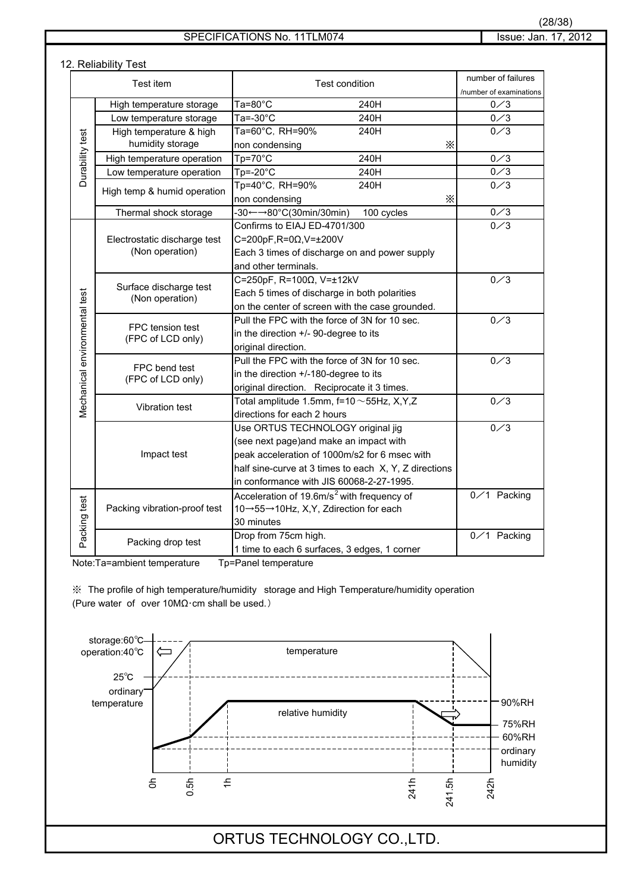### 12. Reliability Test

| Test item                      |                                           | <b>Test condition</b>                                    | number of failures      |
|--------------------------------|-------------------------------------------|----------------------------------------------------------|-------------------------|
|                                |                                           |                                                          | /number of examinations |
|                                | High temperature storage                  | $Ta=80^{\circ}C$<br>240H                                 | 0 <sub>3</sub>          |
|                                | Low temperature storage                   | $\overline{\text{T}}$ a=-30°C<br>240H                    | $0\angle 3$             |
|                                | High temperature & high                   | Ta=60°C, RH=90%<br>240H                                  | 0/3                     |
|                                | humidity storage                          | non condensing<br>X                                      |                         |
| Durability test                | High temperature operation                | $Tp = 70^{\circ}C$<br>240H                               | 0/3                     |
|                                | Low temperature operation                 | $Tp = -20^{\circ}C$<br>240H                              | $0\diagup 3$            |
|                                | High temp & humid operation               | Tp=40°C, RH=90%<br>240H                                  | $0\angle 3$             |
|                                |                                           | $\times$<br>non condensing                               |                         |
|                                | Thermal shock storage                     | 100 cycles<br>$-30 \leftarrow 80^{\circ}$ C(30min/30min) | $0 \angle 3$            |
|                                |                                           | Confirms to EIAJ ED-4701/300                             | 0 <sub>3</sub>          |
|                                | Electrostatic discharge test              | C=200pF, R=0Ω, V=±200V                                   |                         |
|                                | (Non operation)                           | Each 3 times of discharge on and power supply            |                         |
|                                |                                           | and other terminals.                                     |                         |
|                                |                                           | C=250pF, R=100Ω, V=±12kV                                 | $0 \times 3$            |
|                                | Surface discharge test<br>(Non operation) | Each 5 times of discharge in both polarities             |                         |
|                                |                                           | on the center of screen with the case grounded.          |                         |
| Vlechanical environmental test |                                           | Pull the FPC with the force of 3N for 10 sec.            | $0 \angle 3$            |
|                                | FPC tension test<br>(FPC of LCD only)     | in the direction +/- 90-degree to its                    |                         |
|                                |                                           | original direction.                                      |                         |
|                                |                                           | Pull the FPC with the force of 3N for 10 sec.            | 0/3                     |
|                                | FPC bend test<br>(FPC of LCD only)        | in the direction +/-180-degree to its                    |                         |
|                                |                                           | original direction. Reciprocate it 3 times.              |                         |
|                                |                                           | Total amplitude 1.5mm, $f=10 \sim 55$ Hz, X,Y,Z          | $0\angle 3$             |
|                                | Vibration test                            | directions for each 2 hours                              |                         |
|                                |                                           | Use ORTUS TECHNOLOGY original jig                        | 0/3                     |
|                                |                                           | (see next page) and make an impact with                  |                         |
|                                | Impact test                               | peak acceleration of 1000m/s2 for 6 msec with            |                         |
|                                |                                           | half sine-curve at 3 times to each X, Y, Z directions    |                         |
|                                |                                           | in conformance with JIS 60068-2-27-1995.                 |                         |
|                                |                                           | Acceleration of 19.6m/s <sup>2</sup> with frequency of   | $0 \times 1$ Packing    |
|                                | Packing vibration-proof test              | 10→55→10Hz, X, Y, Zdirection for each                    |                         |
|                                |                                           | 30 minutes                                               |                         |
| Packing test                   |                                           | Drop from 75cm high.                                     | 0/1 Packing             |
|                                | Packing drop test                         | 1 time to each 6 surfaces, 3 edges, 1 corner             |                         |

Note:Ta=ambient temperature Tp=Panel temperature

㶎䇭The profile of high temperature/humidity storage and High Temperature/humidity operation (Pure water of over  $10M\Omega$ ·cm shall be used.)

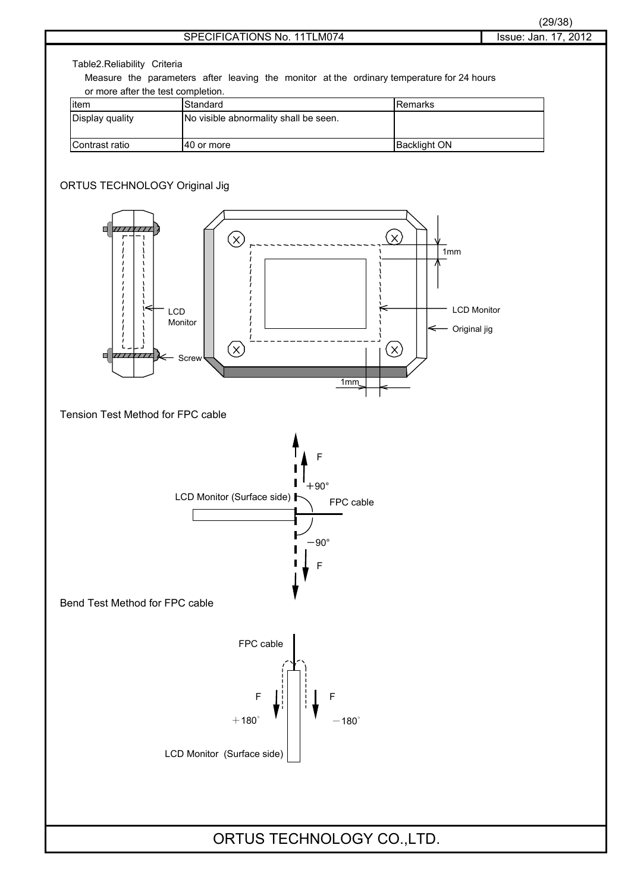

Table2.Reliability Criteria

Measure the parameters after leaving the monitor at the ordinary temperature for 24 hours or more after the test completion.

| litem           | Standard                              | <b>IRemarks</b>     |
|-----------------|---------------------------------------|---------------------|
| Display quality | No visible abnormality shall be seen. |                     |
| Contrast ratio  | 140 or more                           | <b>Backlight ON</b> |

### ORTUS TECHNOLOGY Original Jig

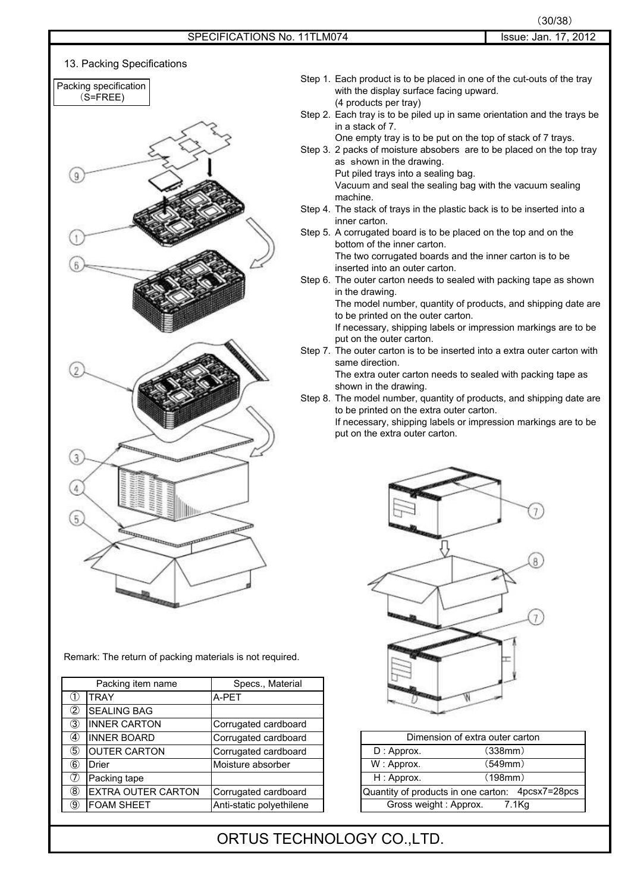

Remark: The return of packing materials is not required.

|                | Packing item name         | Specs., Material         |                       |                                                  |
|----------------|---------------------------|--------------------------|-----------------------|--------------------------------------------------|
| U              | <b>TRAY</b>               | A-PET                    |                       |                                                  |
| $^{\circledR}$ | <b>SEALING BAG</b>        |                          |                       |                                                  |
| $\circled{3}$  | <b>INNER CARTON</b>       | Corrugated cardboard     |                       |                                                  |
|                | <b>INNER BOARD</b>        | Corrugated cardboard     |                       | Dimension of extra outer carton                  |
| $\circledS$    | <b>OUTER CARTON</b>       | Corrugated cardboard     | $D:$ Approx.          | (338mm)                                          |
| $^{\circledR}$ | Drier                     | Moisture absorber        | W: Approx.            | (549mm)                                          |
| $^\circledR$   | Packing tape              |                          | H: Approx.            | (198mm)                                          |
| $\circledR$    | <b>EXTRA OUTER CARTON</b> | Corrugated cardboard     |                       | Quantity of products in one carton: 4pcsx7=28pcs |
| $\circledS$    | <b>FOAM SHEET</b>         | Anti-static polyethilene | Gross weight: Approx. | $7.1$ Kg                                         |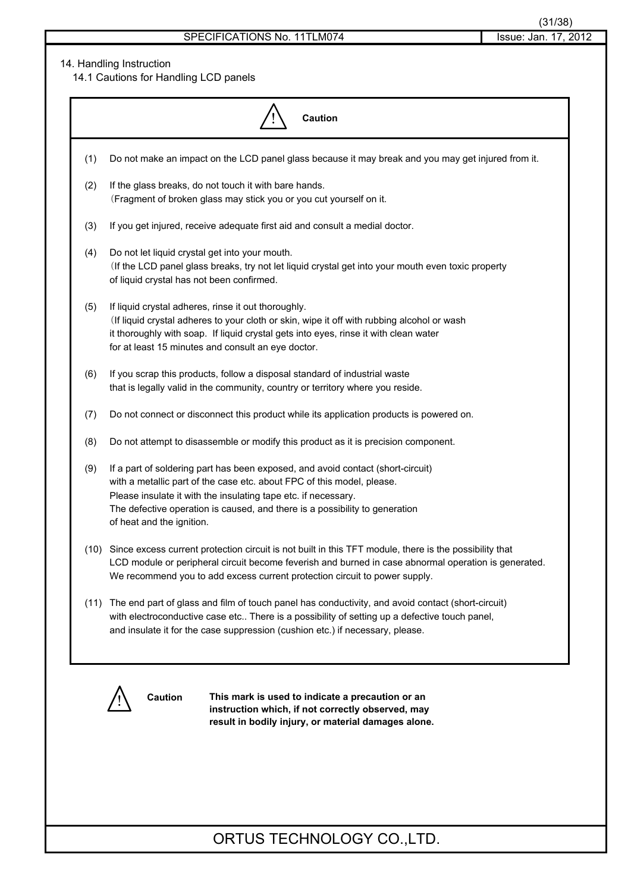### 14. Handling Instruction

14.1 Cautions for Handling LCD panels

|     | Caution                                                                                                                                                                                                                                                                                                                                 |
|-----|-----------------------------------------------------------------------------------------------------------------------------------------------------------------------------------------------------------------------------------------------------------------------------------------------------------------------------------------|
| (1) | Do not make an impact on the LCD panel glass because it may break and you may get injured from it.                                                                                                                                                                                                                                      |
| (2) | If the glass breaks, do not touch it with bare hands.<br>(Fragment of broken glass may stick you or you cut yourself on it.                                                                                                                                                                                                             |
| (3) | If you get injured, receive adequate first aid and consult a medial doctor.                                                                                                                                                                                                                                                             |
| (4) | Do not let liquid crystal get into your mouth.<br>(If the LCD panel glass breaks, try not let liquid crystal get into your mouth even toxic property<br>of liquid crystal has not been confirmed.                                                                                                                                       |
| (5) | If liquid crystal adheres, rinse it out thoroughly.<br>(If liquid crystal adheres to your cloth or skin, wipe it off with rubbing alcohol or wash<br>it thoroughly with soap. If liquid crystal gets into eyes, rinse it with clean water<br>for at least 15 minutes and consult an eye doctor.                                         |
| (6) | If you scrap this products, follow a disposal standard of industrial waste<br>that is legally valid in the community, country or territory where you reside.                                                                                                                                                                            |
| (7) | Do not connect or disconnect this product while its application products is powered on.                                                                                                                                                                                                                                                 |
| (8) | Do not attempt to disassemble or modify this product as it is precision component.                                                                                                                                                                                                                                                      |
| (9) | If a part of soldering part has been exposed, and avoid contact (short-circuit)<br>with a metallic part of the case etc. about FPC of this model, please.<br>Please insulate it with the insulating tape etc. if necessary.<br>The defective operation is caused, and there is a possibility to generation<br>of heat and the ignition. |
|     | (10) Since excess current protection circuit is not built in this TFT module, there is the possibility that<br>LCD module or peripheral circuit become feverish and burned in case abnormal operation is generated.<br>We recommend you to add excess current protection circuit to power supply.                                       |
|     | (11) The end part of glass and film of touch panel has conductivity, and avoid contact (short-circuit)<br>with electroconductive case etc There is a possibility of setting up a defective touch panel,<br>and insulate it for the case suppression (cushion etc.) if necessary, please.                                                |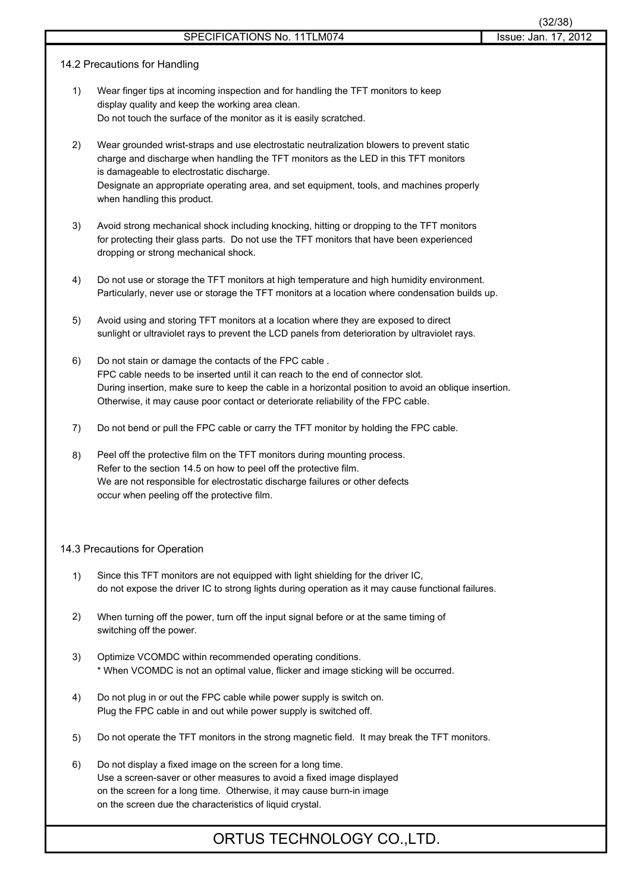### 14.2 Precautions for Handling

- 1) Wear finger tips at incoming inspection and for handling the TFT monitors to keep display quality and keep the working area clean. Do not touch the surface of the monitor as it is easily scratched.
- 2) Wear grounded wrist-straps and use electrostatic neutralization blowers to prevent static charge and discharge when handling the TFT monitors as the LED in this TFT monitors is damageable to electrostatic discharge. Designate an appropriate operating area, and set equipment, tools, and machines properly when handling this product.
- 3) Avoid strong mechanical shock including knocking, hitting or dropping to the TFT monitors for protecting their glass parts. Do not use the TFT monitors that have been experienced dropping or strong mechanical shock.
- 4) Do not use or storage the TFT monitors at high temperature and high humidity environment. Particularly, never use or storage the TFT monitors at a location where condensation builds up.
- 5) Avoid using and storing TFT monitors at a location where they are exposed to direct sunlight or ultraviolet rays to prevent the LCD panels from deterioration by ultraviolet rays.
- 6) Do not stain or damage the contacts of the FPC cable . FPC cable needs to be inserted until it can reach to the end of connector slot. During insertion, make sure to keep the cable in a horizontal position to avoid an oblique insertion. Otherwise, it may cause poor contact or deteriorate reliability of the FPC cable.
- 7) Do not bend or pull the FPC cable or carry the TFT monitor by holding the FPC cable.
- 8) Peel off the protective film on the TFT monitors during mounting process. Refer to the section 14.5 on how to peel off the protective film. We are not responsible for electrostatic discharge failures or other defects occur when peeling off the protective film.

### 14.3 Precautions for Operation

- 1) Since this TFT monitors are not equipped with light shielding for the driver IC, do not expose the driver IC to strong lights during operation as it may cause functional failures.
- 2) When turning off the power, turn off the input signal before or at the same timing of switching off the power.
- 3) Optimize VCOMDC within recommended operating conditions. \* When VCOMDC is not an optimal value, flicker and image sticking will be occurred.
- 4) Do not plug in or out the FPC cable while power supply is switch on. Plug the FPC cable in and out while power supply is switched off.
- 5) Do not operate the TFT monitors in the strong magnetic field. It may break the TFT monitors.
- 6) Do not display a fixed image on the screen for a long time. Use a screen-saver or other measures to avoid a fixed image displayed on the screen for a long time. Otherwise, it may cause burn-in image on the screen due the characteristics of liquid crystal.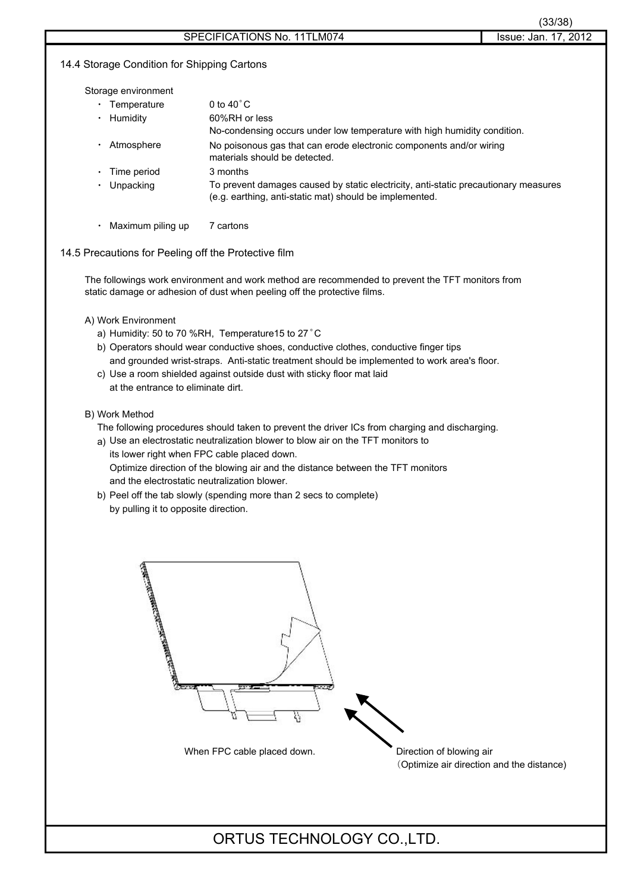### 14.4 Storage Condition for Shipping Cartons

Storage environment

| Temperature | 0 to $40^{\circ}$ C                                                                                                                            |
|-------------|------------------------------------------------------------------------------------------------------------------------------------------------|
| Humidity    | 60%RH or less                                                                                                                                  |
|             | No-condensing occurs under low temperature with high humidity condition.                                                                       |
| Atmosphere  | No poisonous gas that can erode electronic components and/or wiring<br>materials should be detected.                                           |
| Time period | 3 months                                                                                                                                       |
| Unpacking   | To prevent damages caused by static electricity, anti-static precautionary measures<br>(e.g. earthing, anti-static mat) should be implemented. |
|             |                                                                                                                                                |

• Maximum piling up 7 cartons

### 14.5 Precautions for Peeling off the Protective film

The followings work environment and work method are recommended to prevent the TFT monitors from static damage or adhesion of dust when peeling off the protective films.

### A) Work Environment

- a) Humidity: 50 to 70 %RH, Temperature15 to 27°C
- b) Operators should wear conductive shoes, conductive clothes, conductive finger tips and grounded wrist-straps. Anti-static treatment should be implemented to work area's floor.
- c) Use a room shielded against outside dust with sticky floor mat laid at the entrance to eliminate dirt.

### B) Work Method

- The following procedures should taken to prevent the driver ICs from charging and discharging.
- a) Use an electrostatic neutralization blower to blow air on the TFT monitors to its lower right when FPC cable placed down. Optimize direction of the blowing air and the distance between the TFT monitors and the electrostatic neutralization blower.
- b) Peel off the tab slowly (spending more than 2 secs to complete) by pulling it to opposite direction.



䋨Optimize air direction and the distance)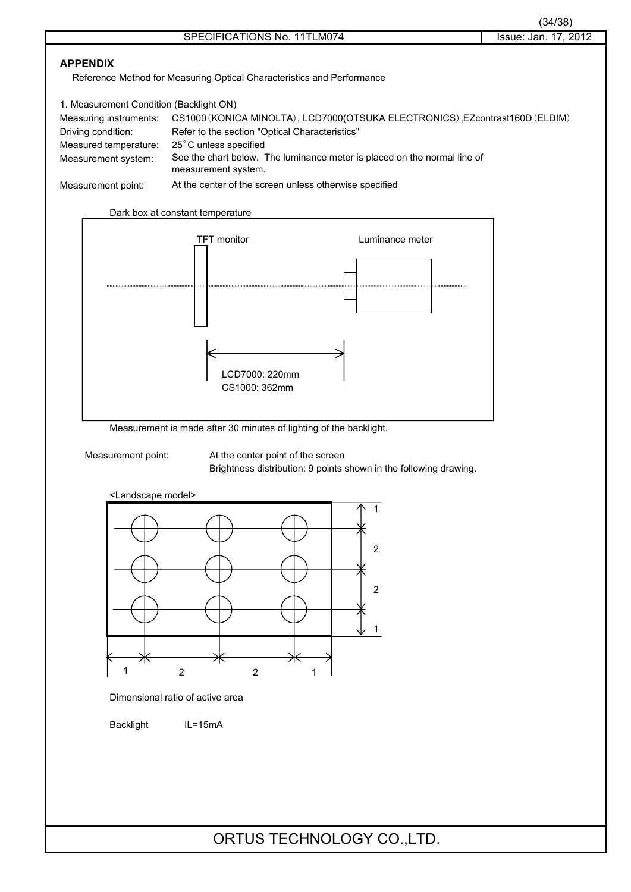### **APPENDIX**

Reference Method for Measuring Optical Characteristics and Performance

| 1. Measurement Condition (Backlight ON) |                                                                                                 |  |  |  |  |
|-----------------------------------------|-------------------------------------------------------------------------------------------------|--|--|--|--|
| Measuring instruments:                  | CS1000 (KONICA MINOLTA), LCD7000 (OTSUKA ELECTRONICS), EZcontrast160D (ELDIM)                   |  |  |  |  |
| Driving condition:                      | Refer to the section "Optical Characteristics"                                                  |  |  |  |  |
| Measured temperature:                   | 25°C unless specified                                                                           |  |  |  |  |
| Measurement system:                     | See the chart below. The luminance meter is placed on the normal line of<br>measurement system. |  |  |  |  |
| Measurement point:                      | At the center of the screen unless otherwise specified                                          |  |  |  |  |



Measurement is made after 30 minutes of lighting of the backlight.

Measurement point: At the center point of the screen Brightness distribution: 9 points shown in the following drawing.



Dimensional ratio of active area

Backlight IL=15mA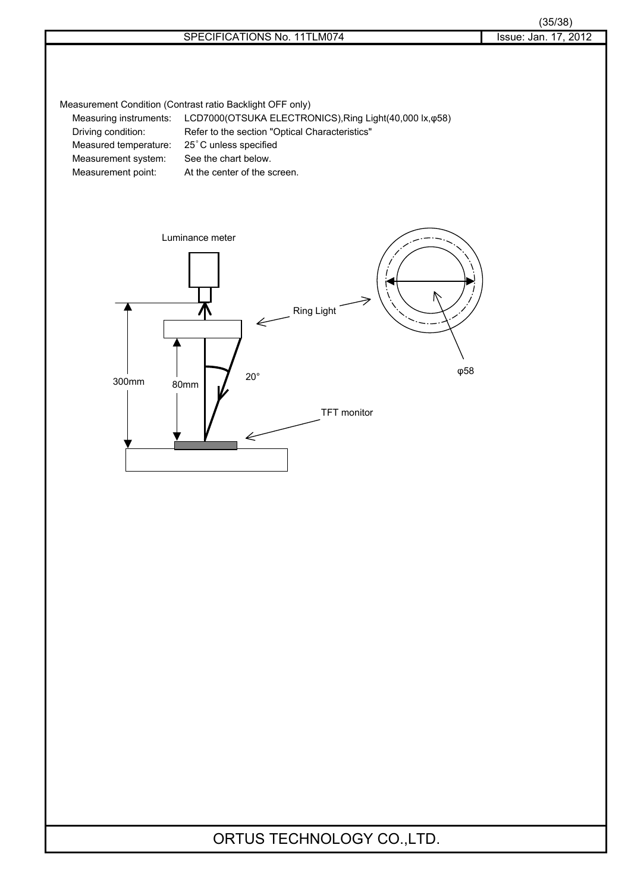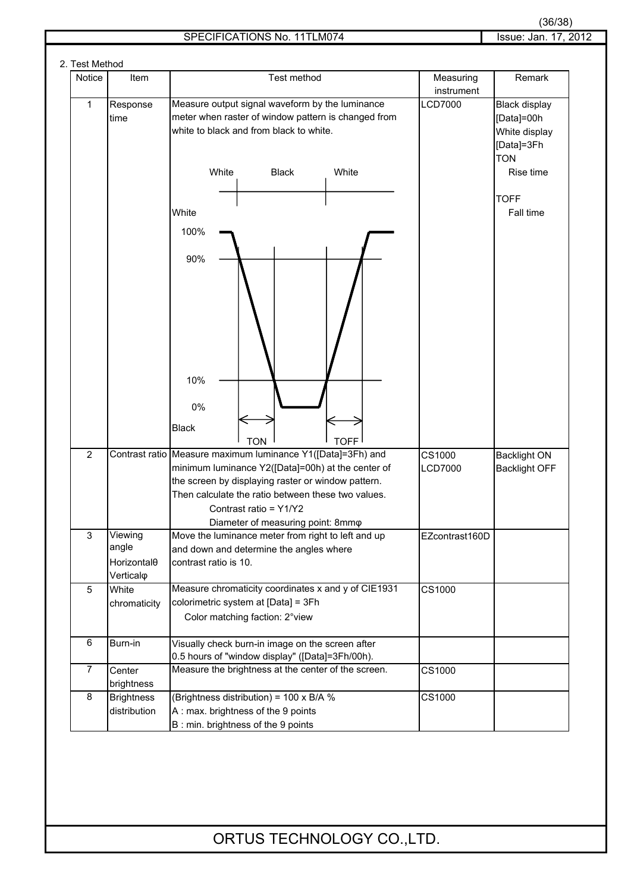|  | 2. Test Method |                         |                                                                                         |                |                      |
|--|----------------|-------------------------|-----------------------------------------------------------------------------------------|----------------|----------------------|
|  | Notice         | Item                    | Test method                                                                             | Measuring      | Remark               |
|  |                |                         |                                                                                         | instrument     |                      |
|  | 1              | Response                | Measure output signal waveform by the luminance                                         | <b>LCD7000</b> | Black display        |
|  |                | time                    | meter when raster of window pattern is changed from                                     |                | [Data]=00h           |
|  |                |                         | white to black and from black to white.                                                 |                | White display        |
|  |                |                         |                                                                                         |                | [Data]=3Fh           |
|  |                |                         |                                                                                         |                | <b>TON</b>           |
|  |                |                         | White<br><b>Black</b><br>White                                                          |                | Rise time            |
|  |                |                         |                                                                                         |                |                      |
|  |                |                         |                                                                                         |                | <b>TOFF</b>          |
|  |                |                         | White                                                                                   |                | Fall time            |
|  |                |                         | 100%                                                                                    |                |                      |
|  |                |                         |                                                                                         |                |                      |
|  |                |                         | 90%                                                                                     |                |                      |
|  |                |                         |                                                                                         |                |                      |
|  |                |                         |                                                                                         |                |                      |
|  |                |                         |                                                                                         |                |                      |
|  |                |                         |                                                                                         |                |                      |
|  |                |                         |                                                                                         |                |                      |
|  |                |                         |                                                                                         |                |                      |
|  |                |                         |                                                                                         |                |                      |
|  |                |                         | 10%                                                                                     |                |                      |
|  |                |                         |                                                                                         |                |                      |
|  |                |                         | 0%                                                                                      |                |                      |
|  |                |                         |                                                                                         |                |                      |
|  |                |                         | <b>Black</b>                                                                            |                |                      |
|  |                |                         | <b>TOFF</b><br><b>TON</b>                                                               |                |                      |
|  | $\overline{2}$ |                         | Contrast ratio Measure maximum luminance Y1([Data]=3Fh) and                             | CS1000         | <b>Backlight ON</b>  |
|  |                |                         | minimum luminance Y2([Data]=00h) at the center of                                       | <b>LCD7000</b> | <b>Backlight OFF</b> |
|  |                |                         | the screen by displaying raster or window pattern.                                      |                |                      |
|  |                |                         | Then calculate the ratio between these two values.                                      |                |                      |
|  |                |                         | Contrast ratio = Y1/Y2                                                                  |                |                      |
|  | 3              | Viewing                 | Diameter of measuring point: 8mmo<br>Move the luminance meter from right to left and up | EZcontrast160D |                      |
|  |                | angle                   | and down and determine the angles where                                                 |                |                      |
|  |                | Horizontal <sub>0</sub> | contrast ratio is 10.                                                                   |                |                      |
|  |                | Verticalo               |                                                                                         |                |                      |
|  | 5              | White                   | Measure chromaticity coordinates x and y of CIE1931                                     | CS1000         |                      |
|  |                | chromaticity            | colorimetric system at [Data] = 3Fh                                                     |                |                      |
|  |                |                         | Color matching faction: 2°view                                                          |                |                      |
|  |                |                         |                                                                                         |                |                      |
|  | 6              | Burn-in                 | Visually check burn-in image on the screen after                                        |                |                      |
|  |                |                         | 0.5 hours of "window display" ([Data]=3Fh/00h).                                         |                |                      |
|  | $\overline{7}$ | Center                  | Measure the brightness at the center of the screen.                                     | CS1000         |                      |
|  |                | brightness              |                                                                                         |                |                      |
|  | 8              | <b>Brightness</b>       | (Brightness distribution) = 100 x B/A %                                                 | CS1000         |                      |
|  |                | distribution            | A: max. brightness of the 9 points                                                      |                |                      |
|  |                |                         | B: min. brightness of the 9 points                                                      |                |                      |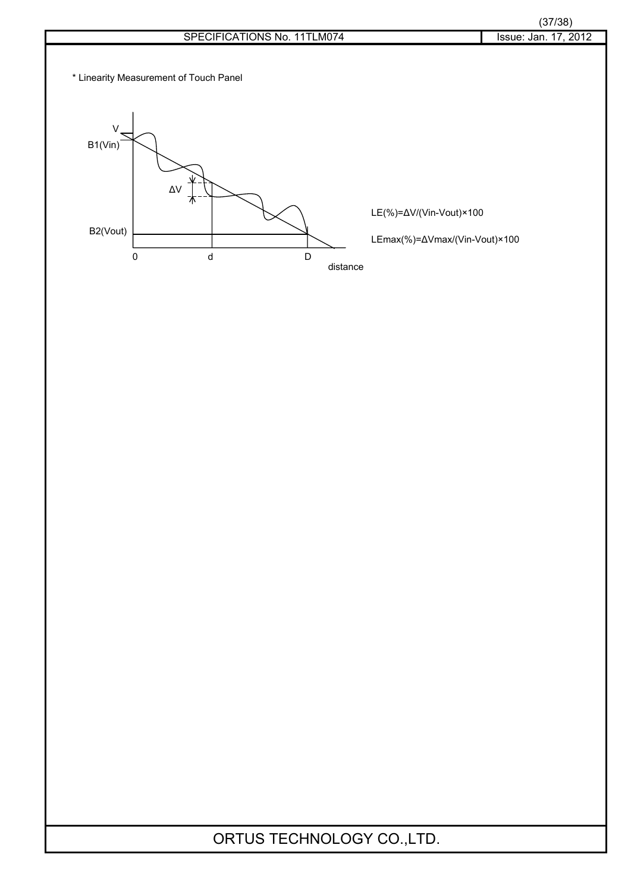\* Linearity Measurement of Touch Panel



LE(%)=∆V/(Vin-Vout)×100

LEmax(%)=∆Vmax/(Vin-Vout)×100

distance